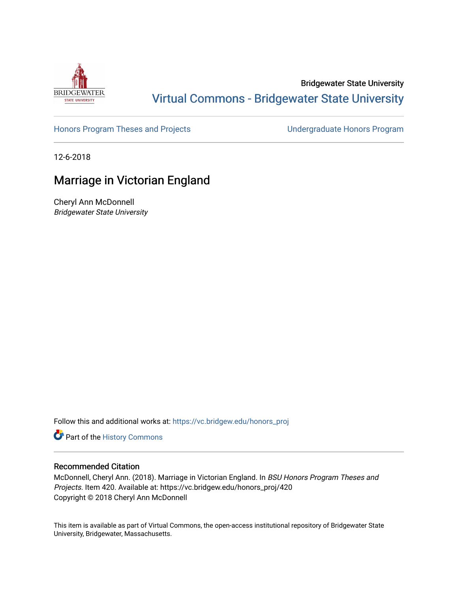

## Bridgewater State University [Virtual Commons - Bridgewater State University](https://vc.bridgew.edu/)

[Honors Program Theses and Projects](https://vc.bridgew.edu/honors_proj) [Undergraduate Honors Program](https://vc.bridgew.edu/honors) 

12-6-2018

# Marriage in Victorian England

Cheryl Ann McDonnell Bridgewater State University

Follow this and additional works at: [https://vc.bridgew.edu/honors\\_proj](https://vc.bridgew.edu/honors_proj?utm_source=vc.bridgew.edu%2Fhonors_proj%2F420&utm_medium=PDF&utm_campaign=PDFCoverPages)

Part of the [History Commons](http://network.bepress.com/hgg/discipline/489?utm_source=vc.bridgew.edu%2Fhonors_proj%2F420&utm_medium=PDF&utm_campaign=PDFCoverPages) 

#### Recommended Citation

McDonnell, Cheryl Ann. (2018). Marriage in Victorian England. In BSU Honors Program Theses and Projects. Item 420. Available at: https://vc.bridgew.edu/honors\_proj/420 Copyright © 2018 Cheryl Ann McDonnell

This item is available as part of Virtual Commons, the open-access institutional repository of Bridgewater State University, Bridgewater, Massachusetts.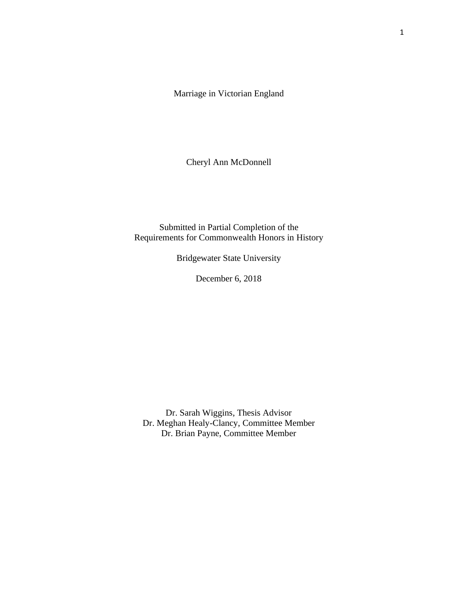Marriage in Victorian England

Cheryl Ann McDonnell

Submitted in Partial Completion of the Requirements for Commonwealth Honors in History

Bridgewater State University

December 6, 2018

Dr. Sarah Wiggins, Thesis Advisor Dr. Meghan Healy-Clancy, Committee Member Dr. Brian Payne, Committee Member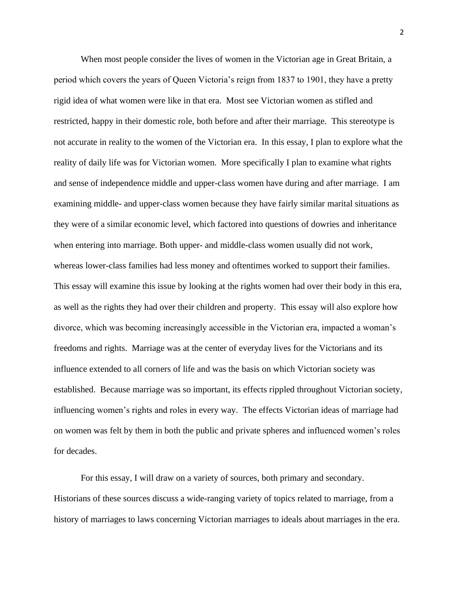When most people consider the lives of women in the Victorian age in Great Britain, a period which covers the years of Queen Victoria's reign from 1837 to 1901, they have a pretty rigid idea of what women were like in that era. Most see Victorian women as stifled and restricted, happy in their domestic role, both before and after their marriage. This stereotype is not accurate in reality to the women of the Victorian era. In this essay, I plan to explore what the reality of daily life was for Victorian women. More specifically I plan to examine what rights and sense of independence middle and upper-class women have during and after marriage. I am examining middle- and upper-class women because they have fairly similar marital situations as they were of a similar economic level, which factored into questions of dowries and inheritance when entering into marriage. Both upper- and middle-class women usually did not work, whereas lower-class families had less money and oftentimes worked to support their families. This essay will examine this issue by looking at the rights women had over their body in this era, as well as the rights they had over their children and property. This essay will also explore how divorce, which was becoming increasingly accessible in the Victorian era, impacted a woman's freedoms and rights. Marriage was at the center of everyday lives for the Victorians and its influence extended to all corners of life and was the basis on which Victorian society was established. Because marriage was so important, its effects rippled throughout Victorian society, influencing women's rights and roles in every way. The effects Victorian ideas of marriage had on women was felt by them in both the public and private spheres and influenced women's roles for decades.

For this essay, I will draw on a variety of sources, both primary and secondary. Historians of these sources discuss a wide-ranging variety of topics related to marriage, from a history of marriages to laws concerning Victorian marriages to ideals about marriages in the era.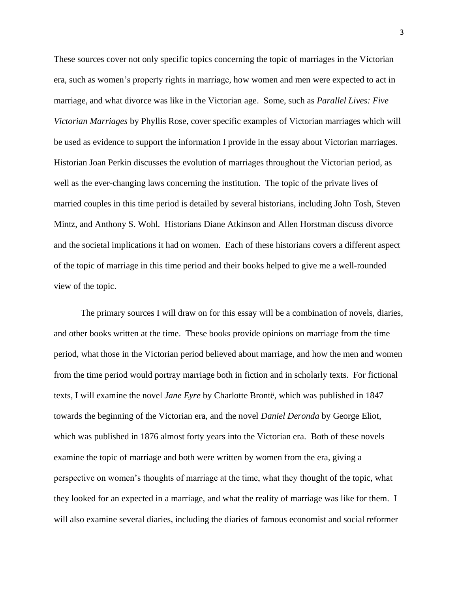These sources cover not only specific topics concerning the topic of marriages in the Victorian era, such as women's property rights in marriage, how women and men were expected to act in marriage, and what divorce was like in the Victorian age. Some, such as *Parallel Lives: Five Victorian Marriages* by Phyllis Rose, cover specific examples of Victorian marriages which will be used as evidence to support the information I provide in the essay about Victorian marriages. Historian Joan Perkin discusses the evolution of marriages throughout the Victorian period, as well as the ever-changing laws concerning the institution. The topic of the private lives of married couples in this time period is detailed by several historians, including John Tosh, Steven Mintz, and Anthony S. Wohl. Historians Diane Atkinson and Allen Horstman discuss divorce and the societal implications it had on women. Each of these historians covers a different aspect of the topic of marriage in this time period and their books helped to give me a well-rounded view of the topic.

The primary sources I will draw on for this essay will be a combination of novels, diaries, and other books written at the time. These books provide opinions on marriage from the time period, what those in the Victorian period believed about marriage, and how the men and women from the time period would portray marriage both in fiction and in scholarly texts. For fictional texts, I will examine the novel *Jane Eyre* by Charlotte Brontë, which was published in 1847 towards the beginning of the Victorian era, and the novel *Daniel Deronda* by George Eliot, which was published in 1876 almost forty years into the Victorian era. Both of these novels examine the topic of marriage and both were written by women from the era, giving a perspective on women's thoughts of marriage at the time, what they thought of the topic, what they looked for an expected in a marriage, and what the reality of marriage was like for them. I will also examine several diaries, including the diaries of famous economist and social reformer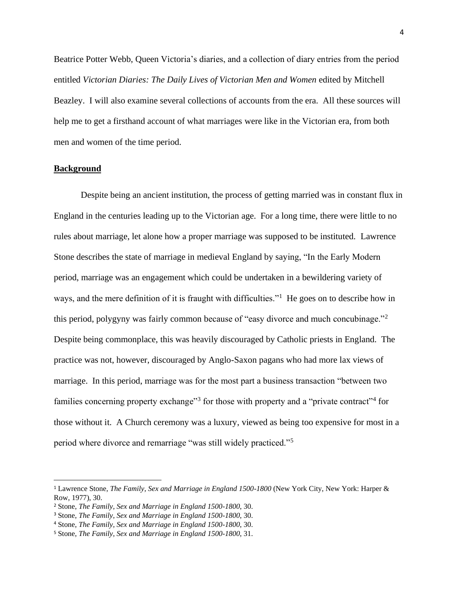Beatrice Potter Webb, Queen Victoria's diaries, and a collection of diary entries from the period entitled *Victorian Diaries: The Daily Lives of Victorian Men and Women* edited by Mitchell Beazley. I will also examine several collections of accounts from the era. All these sources will help me to get a firsthand account of what marriages were like in the Victorian era, from both men and women of the time period.

#### **Background**

Despite being an ancient institution, the process of getting married was in constant flux in England in the centuries leading up to the Victorian age. For a long time, there were little to no rules about marriage, let alone how a proper marriage was supposed to be instituted. Lawrence Stone describes the state of marriage in medieval England by saying, "In the Early Modern period, marriage was an engagement which could be undertaken in a bewildering variety of ways, and the mere definition of it is fraught with difficulties."<sup>1</sup> He goes on to describe how in this period, polygyny was fairly common because of "easy divorce and much concubinage."<sup>2</sup> Despite being commonplace, this was heavily discouraged by Catholic priests in England. The practice was not, however, discouraged by Anglo-Saxon pagans who had more lax views of marriage. In this period, marriage was for the most part a business transaction "between two families concerning property exchange"<sup>3</sup> for those with property and a "private contract"<sup>4</sup> for those without it. A Church ceremony was a luxury, viewed as being too expensive for most in a period where divorce and remarriage "was still widely practiced."<sup>5</sup>

<sup>1</sup> Lawrence Stone, *The Family, Sex and Marriage in England 1500-1800* (New York City, New York: Harper & Row, 1977), 30.

<sup>2</sup> Stone, *The Family, Sex and Marriage in England 1500-1800*, 30.

<sup>3</sup> Stone, *The Family, Sex and Marriage in England 1500-1800*, 30.

<sup>4</sup> Stone, *The Family, Sex and Marriage in England 1500-1800*, 30.

<sup>5</sup> Stone, *The Family, Sex and Marriage in England 1500-1800*, 31.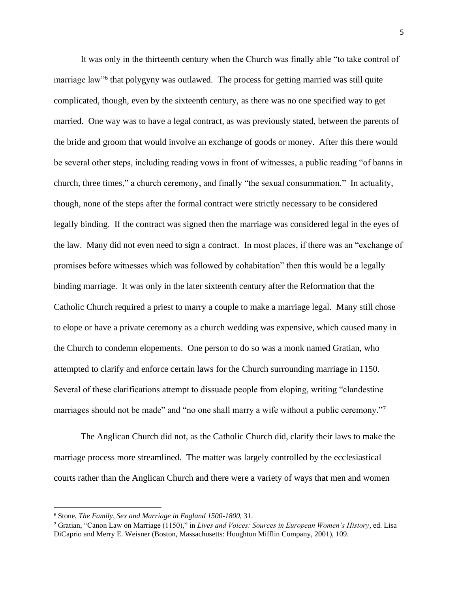It was only in the thirteenth century when the Church was finally able "to take control of marriage law"<sup>6</sup> that polygyny was outlawed. The process for getting married was still quite complicated, though, even by the sixteenth century, as there was no one specified way to get married. One way was to have a legal contract, as was previously stated, between the parents of the bride and groom that would involve an exchange of goods or money. After this there would be several other steps, including reading vows in front of witnesses, a public reading "of banns in church, three times," a church ceremony, and finally "the sexual consummation." In actuality, though, none of the steps after the formal contract were strictly necessary to be considered legally binding. If the contract was signed then the marriage was considered legal in the eyes of the law. Many did not even need to sign a contract. In most places, if there was an "exchange of promises before witnesses which was followed by cohabitation" then this would be a legally binding marriage. It was only in the later sixteenth century after the Reformation that the Catholic Church required a priest to marry a couple to make a marriage legal. Many still chose to elope or have a private ceremony as a church wedding was expensive, which caused many in the Church to condemn elopements. One person to do so was a monk named Gratian, who attempted to clarify and enforce certain laws for the Church surrounding marriage in 1150. Several of these clarifications attempt to dissuade people from eloping, writing "clandestine marriages should not be made" and "no one shall marry a wife without a public ceremony."<sup>7</sup>

The Anglican Church did not, as the Catholic Church did, clarify their laws to make the marriage process more streamlined. The matter was largely controlled by the ecclesiastical courts rather than the Anglican Church and there were a variety of ways that men and women

<sup>6</sup> Stone, *The Family, Sex and Marriage in England 1500-1800*, 31.

<sup>7</sup> Gratian, "Canon Law on Marriage (1150)," in *Lives and Voices: Sources in European Women's History*, ed. Lisa DiCaprio and Merry E. Weisner (Boston, Massachusetts: Houghton Mifflin Company, 2001), 109.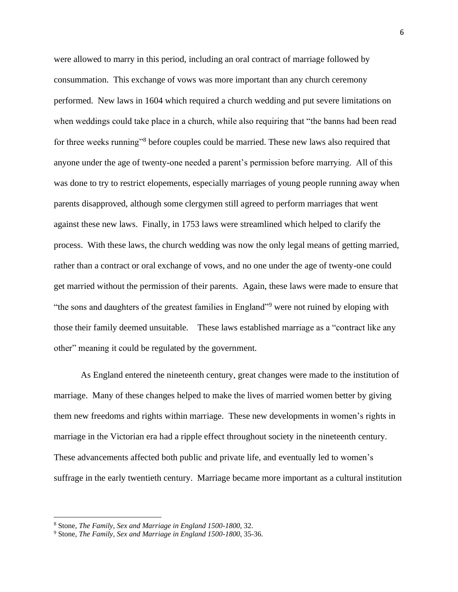were allowed to marry in this period, including an oral contract of marriage followed by consummation. This exchange of vows was more important than any church ceremony performed. New laws in 1604 which required a church wedding and put severe limitations on when weddings could take place in a church, while also requiring that "the banns had been read for three weeks running"<sup>8</sup> before couples could be married. These new laws also required that anyone under the age of twenty-one needed a parent's permission before marrying. All of this was done to try to restrict elopements, especially marriages of young people running away when parents disapproved, although some clergymen still agreed to perform marriages that went against these new laws. Finally, in 1753 laws were streamlined which helped to clarify the process. With these laws, the church wedding was now the only legal means of getting married, rather than a contract or oral exchange of vows, and no one under the age of twenty-one could get married without the permission of their parents. Again, these laws were made to ensure that "the sons and daughters of the greatest families in England"<sup>9</sup> were not ruined by eloping with those their family deemed unsuitable. These laws established marriage as a "contract like any other" meaning it could be regulated by the government.

As England entered the nineteenth century, great changes were made to the institution of marriage. Many of these changes helped to make the lives of married women better by giving them new freedoms and rights within marriage. These new developments in women's rights in marriage in the Victorian era had a ripple effect throughout society in the nineteenth century. These advancements affected both public and private life, and eventually led to women's suffrage in the early twentieth century. Marriage became more important as a cultural institution

<sup>8</sup> Stone, *The Family, Sex and Marriage in England 1500-1800*, 32.

<sup>9</sup> Stone, *The Family, Sex and Marriage in England 1500-1800*, 35-36.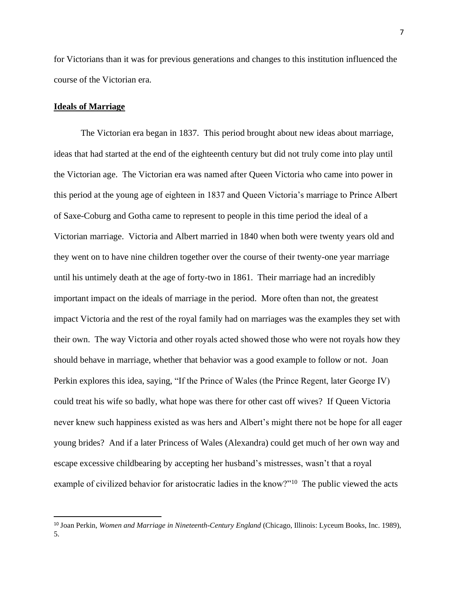for Victorians than it was for previous generations and changes to this institution influenced the course of the Victorian era.

#### **Ideals of Marriage**

The Victorian era began in 1837. This period brought about new ideas about marriage, ideas that had started at the end of the eighteenth century but did not truly come into play until the Victorian age. The Victorian era was named after Queen Victoria who came into power in this period at the young age of eighteen in 1837 and Queen Victoria's marriage to Prince Albert of Saxe-Coburg and Gotha came to represent to people in this time period the ideal of a Victorian marriage. Victoria and Albert married in 1840 when both were twenty years old and they went on to have nine children together over the course of their twenty-one year marriage until his untimely death at the age of forty-two in 1861. Their marriage had an incredibly important impact on the ideals of marriage in the period. More often than not, the greatest impact Victoria and the rest of the royal family had on marriages was the examples they set with their own. The way Victoria and other royals acted showed those who were not royals how they should behave in marriage, whether that behavior was a good example to follow or not. Joan Perkin explores this idea, saying, "If the Prince of Wales (the Prince Regent, later George IV) could treat his wife so badly, what hope was there for other cast off wives? If Queen Victoria never knew such happiness existed as was hers and Albert's might there not be hope for all eager young brides? And if a later Princess of Wales (Alexandra) could get much of her own way and escape excessive childbearing by accepting her husband's mistresses, wasn't that a royal example of civilized behavior for aristocratic ladies in the know?"<sup>10</sup> The public viewed the acts

<sup>10</sup> Joan Perkin, *Women and Marriage in Nineteenth-Century England* (Chicago, Illinois: Lyceum Books, Inc. 1989), 5.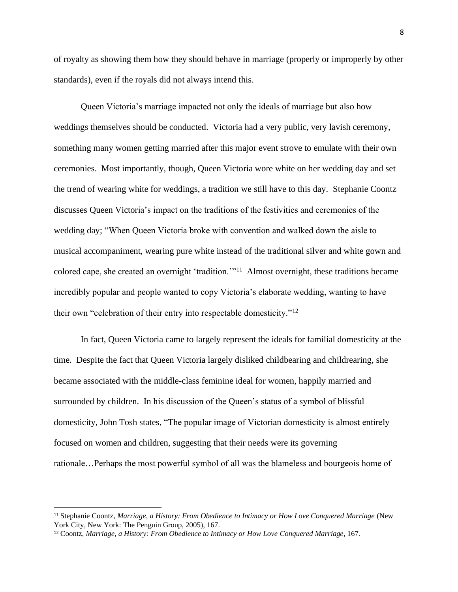of royalty as showing them how they should behave in marriage (properly or improperly by other standards), even if the royals did not always intend this.

Queen Victoria's marriage impacted not only the ideals of marriage but also how weddings themselves should be conducted. Victoria had a very public, very lavish ceremony, something many women getting married after this major event strove to emulate with their own ceremonies. Most importantly, though, Queen Victoria wore white on her wedding day and set the trend of wearing white for weddings, a tradition we still have to this day. Stephanie Coontz discusses Queen Victoria's impact on the traditions of the festivities and ceremonies of the wedding day; "When Queen Victoria broke with convention and walked down the aisle to musical accompaniment, wearing pure white instead of the traditional silver and white gown and colored cape, she created an overnight 'tradition.'"<sup>11</sup> Almost overnight, these traditions became incredibly popular and people wanted to copy Victoria's elaborate wedding, wanting to have their own "celebration of their entry into respectable domesticity."<sup>12</sup>

In fact, Queen Victoria came to largely represent the ideals for familial domesticity at the time. Despite the fact that Queen Victoria largely disliked childbearing and childrearing, she became associated with the middle-class feminine ideal for women, happily married and surrounded by children. In his discussion of the Queen's status of a symbol of blissful domesticity, John Tosh states, "The popular image of Victorian domesticity is almost entirely focused on women and children, suggesting that their needs were its governing rationale…Perhaps the most powerful symbol of all was the blameless and bourgeois home of

<sup>11</sup> Stephanie Coontz, *Marriage, a History: From Obedience to Intimacy or How Love Conquered Marriage* (New York City, New York: The Penguin Group, 2005), 167.

<sup>12</sup> Coontz, *Marriage, a History: From Obedience to Intimacy or How Love Conquered Marriage*, 167*.*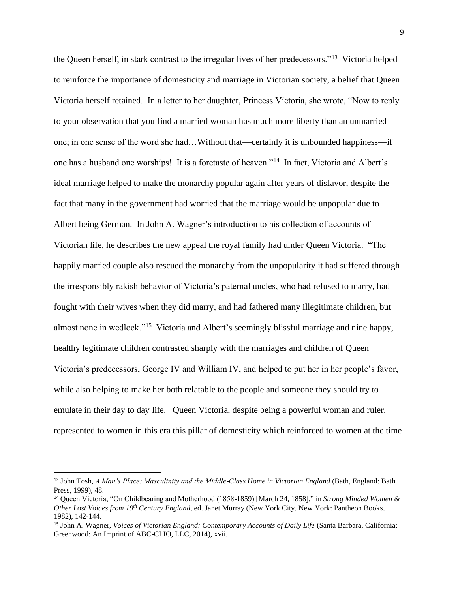the Queen herself, in stark contrast to the irregular lives of her predecessors."<sup>13</sup> Victoria helped to reinforce the importance of domesticity and marriage in Victorian society, a belief that Queen Victoria herself retained. In a letter to her daughter, Princess Victoria, she wrote, "Now to reply to your observation that you find a married woman has much more liberty than an unmarried one; in one sense of the word she had…Without that—certainly it is unbounded happiness—if one has a husband one worships! It is a foretaste of heaven."<sup>14</sup> In fact, Victoria and Albert's ideal marriage helped to make the monarchy popular again after years of disfavor, despite the fact that many in the government had worried that the marriage would be unpopular due to Albert being German. In John A. Wagner's introduction to his collection of accounts of Victorian life, he describes the new appeal the royal family had under Queen Victoria. "The happily married couple also rescued the monarchy from the unpopularity it had suffered through the irresponsibly rakish behavior of Victoria's paternal uncles, who had refused to marry, had fought with their wives when they did marry, and had fathered many illegitimate children, but almost none in wedlock."<sup>15</sup> Victoria and Albert's seemingly blissful marriage and nine happy, healthy legitimate children contrasted sharply with the marriages and children of Queen Victoria's predecessors, George IV and William IV, and helped to put her in her people's favor, while also helping to make her both relatable to the people and someone they should try to emulate in their day to day life. Queen Victoria, despite being a powerful woman and ruler, represented to women in this era this pillar of domesticity which reinforced to women at the time

<sup>13</sup> John Tosh, *A Man's Place: Masculinity and the Middle-Class Home in Victorian England* (Bath, England: Bath Press, 1999), 48.

<sup>14</sup> Queen Victoria, "On Childbearing and Motherhood (1858-1859) [March 24, 1858]," in *Strong Minded Women & Other Lost Voices from 19th Century England*, ed. Janet Murray (New York City, New York: Pantheon Books, 1982), 142-144.

<sup>15</sup> John A. Wagner, *Voices of Victorian England: Contemporary Accounts of Daily Life* (Santa Barbara, California: Greenwood: An Imprint of ABC-CLIO, LLC, 2014), xvii.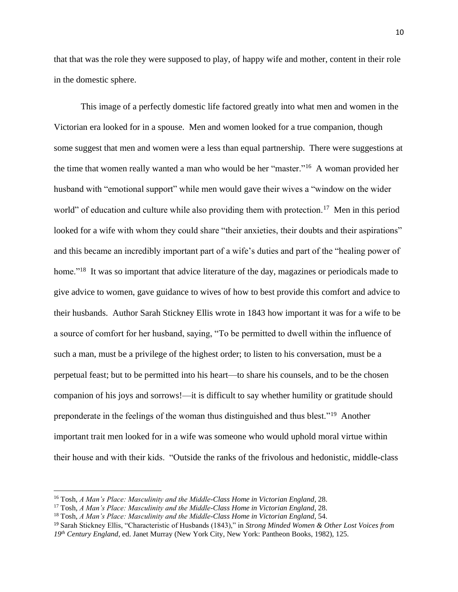that that was the role they were supposed to play, of happy wife and mother, content in their role in the domestic sphere.

This image of a perfectly domestic life factored greatly into what men and women in the Victorian era looked for in a spouse. Men and women looked for a true companion, though some suggest that men and women were a less than equal partnership. There were suggestions at the time that women really wanted a man who would be her "master."<sup>16</sup> A woman provided her husband with "emotional support" while men would gave their wives a "window on the wider world" of education and culture while also providing them with protection.<sup>17</sup> Men in this period looked for a wife with whom they could share "their anxieties, their doubts and their aspirations" and this became an incredibly important part of a wife's duties and part of the "healing power of home."<sup>18</sup> It was so important that advice literature of the day, magazines or periodicals made to give advice to women, gave guidance to wives of how to best provide this comfort and advice to their husbands. Author Sarah Stickney Ellis wrote in 1843 how important it was for a wife to be a source of comfort for her husband, saying, "To be permitted to dwell within the influence of such a man, must be a privilege of the highest order; to listen to his conversation, must be a perpetual feast; but to be permitted into his heart—to share his counsels, and to be the chosen companion of his joys and sorrows!—it is difficult to say whether humility or gratitude should preponderate in the feelings of the woman thus distinguished and thus blest."<sup>19</sup> Another important trait men looked for in a wife was someone who would uphold moral virtue within their house and with their kids. "Outside the ranks of the frivolous and hedonistic, middle-class

<sup>16</sup> Tosh, *A Man's Place: Masculinity and the Middle-Class Home in Victorian England*, 28.

<sup>17</sup> Tosh, *A Man's Place: Masculinity and the Middle-Class Home in Victorian England*, 28.

<sup>18</sup> Tosh, *A Man's Place: Masculinity and the Middle-Class Home in Victorian England*, 54.

<sup>19</sup> Sarah Stickney Ellis, "Characteristic of Husbands (1843)," in *Strong Minded Women & Other Lost Voices from 19th Century England*, ed. Janet Murray (New York City, New York: Pantheon Books, 1982), 125.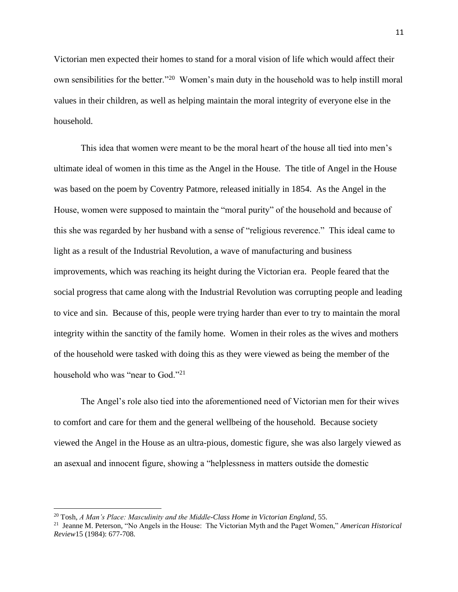Victorian men expected their homes to stand for a moral vision of life which would affect their own sensibilities for the better."<sup>20</sup> Women's main duty in the household was to help instill moral values in their children, as well as helping maintain the moral integrity of everyone else in the household.

This idea that women were meant to be the moral heart of the house all tied into men's ultimate ideal of women in this time as the Angel in the House. The title of Angel in the House was based on the poem by Coventry Patmore, released initially in 1854. As the Angel in the House, women were supposed to maintain the "moral purity" of the household and because of this she was regarded by her husband with a sense of "religious reverence." This ideal came to light as a result of the Industrial Revolution, a wave of manufacturing and business improvements, which was reaching its height during the Victorian era. People feared that the social progress that came along with the Industrial Revolution was corrupting people and leading to vice and sin. Because of this, people were trying harder than ever to try to maintain the moral integrity within the sanctity of the family home. Women in their roles as the wives and mothers of the household were tasked with doing this as they were viewed as being the member of the household who was "near to God."<sup>21</sup>

The Angel's role also tied into the aforementioned need of Victorian men for their wives to comfort and care for them and the general wellbeing of the household. Because society viewed the Angel in the House as an ultra-pious, domestic figure, she was also largely viewed as an asexual and innocent figure, showing a "helplessness in matters outside the domestic

<sup>20</sup> Tosh, *A Man's Place: Masculinity and the Middle-Class Home in Victorian England*, 55.

<sup>21</sup> Jeanne M. Peterson, "No Angels in the House: The Victorian Myth and the Paget Women," *American Historical Review*15 (1984): 677-708.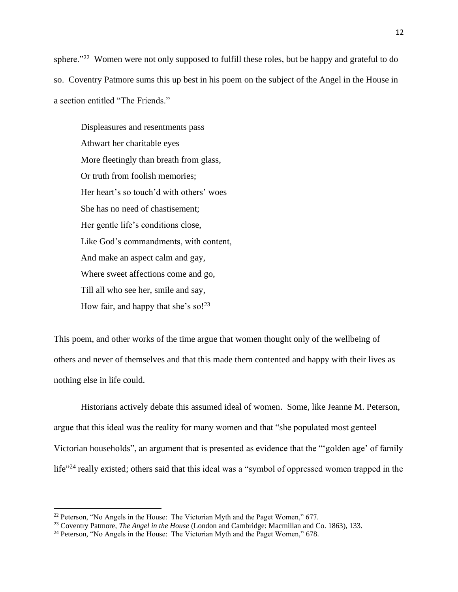sphere."<sup>22</sup> Women were not only supposed to fulfill these roles, but be happy and grateful to do so. Coventry Patmore sums this up best in his poem on the subject of the Angel in the House in a section entitled "The Friends."

Displeasures and resentments pass Athwart her charitable eyes More fleetingly than breath from glass, Or truth from foolish memories; Her heart's so touch'd with others' woes She has no need of chastisement; Her gentle life's conditions close, Like God's commandments, with content, And make an aspect calm and gay, Where sweet affections come and go, Till all who see her, smile and say, How fair, and happy that she's so! $^{23}$ 

This poem, and other works of the time argue that women thought only of the wellbeing of others and never of themselves and that this made them contented and happy with their lives as nothing else in life could.

Historians actively debate this assumed ideal of women. Some, like Jeanne M. Peterson, argue that this ideal was the reality for many women and that "she populated most genteel Victorian households", an argument that is presented as evidence that the "'golden age' of family life"<sup>24</sup> really existed; others said that this ideal was a "symbol of oppressed women trapped in the

<sup>&</sup>lt;sup>22</sup> Peterson, "No Angels in the House: The Victorian Myth and the Paget Women," 677.

<sup>23</sup> Coventry Patmore, *The Angel in the House* (London and Cambridge: Macmillan and Co. 1863), 133.

<sup>&</sup>lt;sup>24</sup> Peterson, "No Angels in the House: The Victorian Myth and the Paget Women," 678.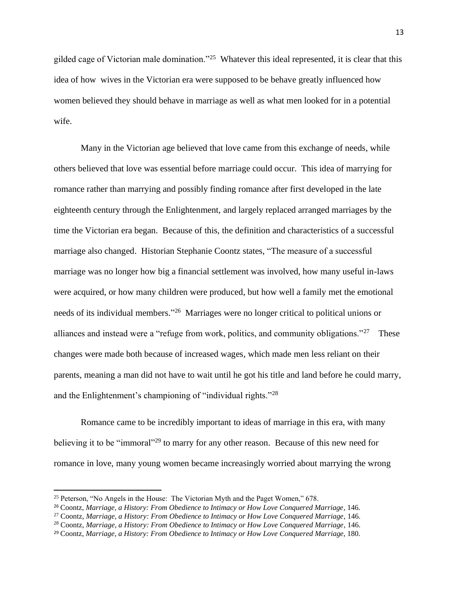gilded cage of Victorian male domination."<sup>25</sup> Whatever this ideal represented, it is clear that this idea of how wives in the Victorian era were supposed to be behave greatly influenced how women believed they should behave in marriage as well as what men looked for in a potential wife.

Many in the Victorian age believed that love came from this exchange of needs, while others believed that love was essential before marriage could occur. This idea of marrying for romance rather than marrying and possibly finding romance after first developed in the late eighteenth century through the Enlightenment, and largely replaced arranged marriages by the time the Victorian era began. Because of this, the definition and characteristics of a successful marriage also changed. Historian Stephanie Coontz states, "The measure of a successful marriage was no longer how big a financial settlement was involved, how many useful in-laws were acquired, or how many children were produced, but how well a family met the emotional needs of its individual members."<sup>26</sup> Marriages were no longer critical to political unions or alliances and instead were a "refuge from work, politics, and community obligations."<sup>27</sup> These changes were made both because of increased wages, which made men less reliant on their parents, meaning a man did not have to wait until he got his title and land before he could marry, and the Enlightenment's championing of "individual rights."<sup>28</sup>

Romance came to be incredibly important to ideas of marriage in this era, with many believing it to be "immoral"<sup>29</sup> to marry for any other reason. Because of this new need for romance in love, many young women became increasingly worried about marrying the wrong

<sup>25</sup> Peterson, "No Angels in the House: The Victorian Myth and the Paget Women," 678.

<sup>26</sup> Coontz, *Marriage, a History: From Obedience to Intimacy or How Love Conquered Marriage*, 146.

<sup>27</sup> Coontz, *Marriage, a History: From Obedience to Intimacy or How Love Conquered Marriage*, 146.

<sup>28</sup> Coontz, *Marriage, a History: From Obedience to Intimacy or How Love Conquered Marriage*, 146.

<sup>29</sup> Coontz, *Marriage, a History: From Obedience to Intimacy or How Love Conquered Marriage*, 180.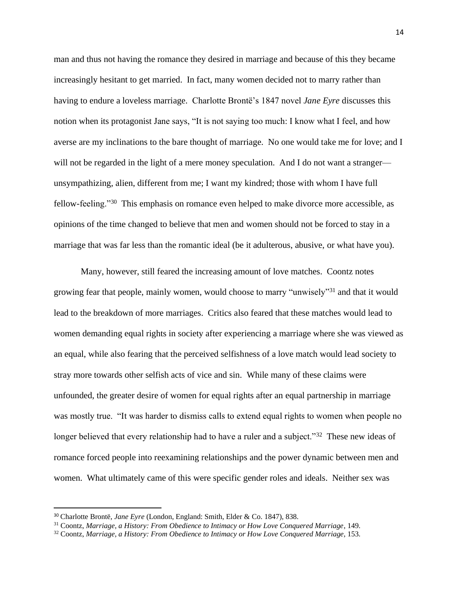man and thus not having the romance they desired in marriage and because of this they became increasingly hesitant to get married. In fact, many women decided not to marry rather than having to endure a loveless marriage. Charlotte Brontë's 1847 novel *Jane Eyre* discusses this notion when its protagonist Jane says, "It is not saying too much: I know what I feel, and how averse are my inclinations to the bare thought of marriage. No one would take me for love; and I will not be regarded in the light of a mere money speculation. And I do not want a stranger unsympathizing, alien, different from me; I want my kindred; those with whom I have full fellow-feeling."<sup>30</sup> This emphasis on romance even helped to make divorce more accessible, as opinions of the time changed to believe that men and women should not be forced to stay in a marriage that was far less than the romantic ideal (be it adulterous, abusive, or what have you).

Many, however, still feared the increasing amount of love matches. Coontz notes growing fear that people, mainly women, would choose to marry "unwisely"<sup>31</sup> and that it would lead to the breakdown of more marriages. Critics also feared that these matches would lead to women demanding equal rights in society after experiencing a marriage where she was viewed as an equal, while also fearing that the perceived selfishness of a love match would lead society to stray more towards other selfish acts of vice and sin. While many of these claims were unfounded, the greater desire of women for equal rights after an equal partnership in marriage was mostly true. "It was harder to dismiss calls to extend equal rights to women when people no longer believed that every relationship had to have a ruler and a subject."<sup>32</sup> These new ideas of romance forced people into reexamining relationships and the power dynamic between men and women. What ultimately came of this were specific gender roles and ideals. Neither sex was

<sup>30</sup> Charlotte Brontë, *Jane Eyre* (London, England: Smith, Elder & Co. 1847), 838.

<sup>31</sup> Coontz, *Marriage, a History: From Obedience to Intimacy or How Love Conquered Marriage*, 149.

<sup>32</sup> Coontz, *Marriage, a History: From Obedience to Intimacy or How Love Conquered Marriage*, 153.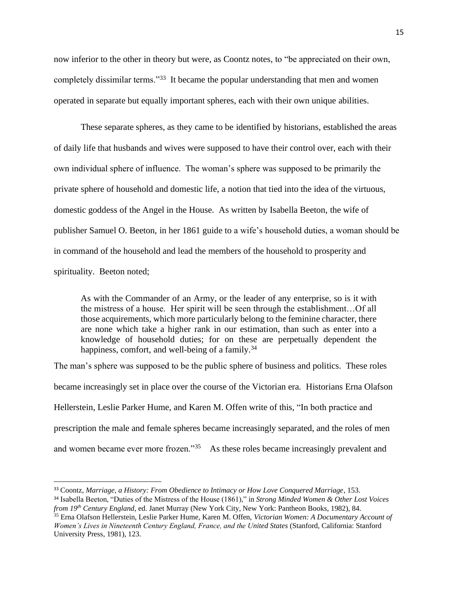now inferior to the other in theory but were, as Coontz notes, to "be appreciated on their own, completely dissimilar terms."<sup>33</sup> It became the popular understanding that men and women operated in separate but equally important spheres, each with their own unique abilities.

These separate spheres, as they came to be identified by historians, established the areas of daily life that husbands and wives were supposed to have their control over, each with their own individual sphere of influence. The woman's sphere was supposed to be primarily the private sphere of household and domestic life, a notion that tied into the idea of the virtuous, domestic goddess of the Angel in the House. As written by Isabella Beeton, the wife of publisher Samuel O. Beeton, in her 1861 guide to a wife's household duties, a woman should be in command of the household and lead the members of the household to prosperity and spirituality. Beeton noted;

As with the Commander of an Army, or the leader of any enterprise, so is it with the mistress of a house. Her spirit will be seen through the establishment…Of all those acquirements, which more particularly belong to the feminine character, there are none which take a higher rank in our estimation, than such as enter into a knowledge of household duties; for on these are perpetually dependent the happiness, comfort, and well-being of a family.<sup>34</sup>

The man's sphere was supposed to be the public sphere of business and politics. These roles became increasingly set in place over the course of the Victorian era. Historians Erna Olafson Hellerstein, Leslie Parker Hume, and Karen M. Offen write of this, "In both practice and prescription the male and female spheres became increasingly separated, and the roles of men and women became ever more frozen."<sup>35</sup> As these roles became increasingly prevalent and

<sup>33</sup> Coontz, *Marriage, a History: From Obedience to Intimacy or How Love Conquered Marriage*, 153. <sup>34</sup> Isabella Beeton, "Duties of the Mistress of the House (1861)," in *Strong Minded Women & Other Lost Voices from 19th Century England*, ed. Janet Murray (New York City, New York: Pantheon Books, 1982), 84.

<sup>35</sup> Erna Olafson Hellerstein, Leslie Parker Hume, Karen M. Offen, *Victorian Women: A Documentary Account of Women's Lives in Nineteenth Century England, France, and the United States* (Stanford, California: Stanford University Press, 1981), 123.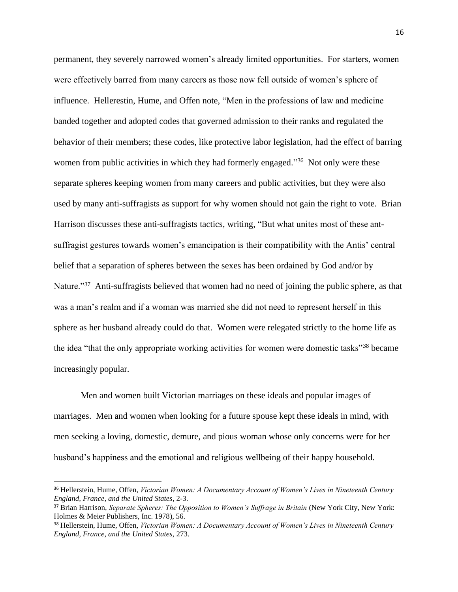permanent, they severely narrowed women's already limited opportunities. For starters, women were effectively barred from many careers as those now fell outside of women's sphere of influence. Hellerestin, Hume, and Offen note, "Men in the professions of law and medicine banded together and adopted codes that governed admission to their ranks and regulated the behavior of their members; these codes, like protective labor legislation, had the effect of barring women from public activities in which they had formerly engaged."<sup>36</sup> Not only were these separate spheres keeping women from many careers and public activities, but they were also used by many anti-suffragists as support for why women should not gain the right to vote. Brian Harrison discusses these anti-suffragists tactics, writing, "But what unites most of these antsuffragist gestures towards women's emancipation is their compatibility with the Antis' central belief that a separation of spheres between the sexes has been ordained by God and/or by Nature."<sup>37</sup> Anti-suffragists believed that women had no need of joining the public sphere, as that was a man's realm and if a woman was married she did not need to represent herself in this sphere as her husband already could do that. Women were relegated strictly to the home life as the idea "that the only appropriate working activities for women were domestic tasks"<sup>38</sup> became increasingly popular.

Men and women built Victorian marriages on these ideals and popular images of marriages. Men and women when looking for a future spouse kept these ideals in mind, with men seeking a loving, domestic, demure, and pious woman whose only concerns were for her husband's happiness and the emotional and religious wellbeing of their happy household.

<sup>36</sup> Hellerstein, Hume, Offen, *Victorian Women: A Documentary Account of Women's Lives in Nineteenth Century England, France, and the United States*, 2-3.

<sup>37</sup> Brian Harrison, *Separate Spheres: The Opposition to Women's Suffrage in Britain* (New York City, New York: Holmes & Meier Publishers, Inc. 1978), 56.

<sup>38</sup> Hellerstein, Hume, Offen, *Victorian Women: A Documentary Account of Women's Lives in Nineteenth Century England, France, and the United States*, 273.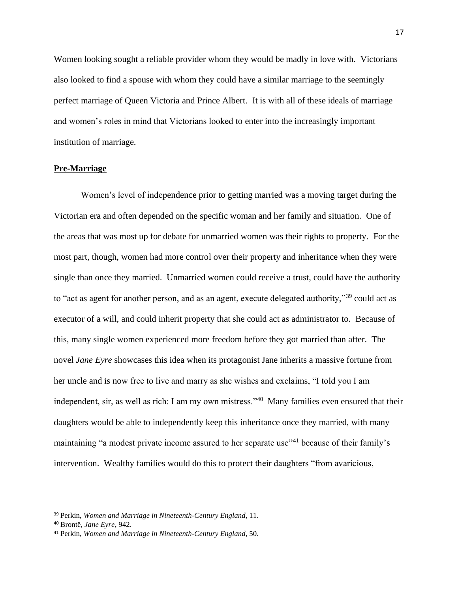Women looking sought a reliable provider whom they would be madly in love with. Victorians also looked to find a spouse with whom they could have a similar marriage to the seemingly perfect marriage of Queen Victoria and Prince Albert. It is with all of these ideals of marriage and women's roles in mind that Victorians looked to enter into the increasingly important institution of marriage.

#### **Pre-Marriage**

Women's level of independence prior to getting married was a moving target during the Victorian era and often depended on the specific woman and her family and situation. One of the areas that was most up for debate for unmarried women was their rights to property. For the most part, though, women had more control over their property and inheritance when they were single than once they married. Unmarried women could receive a trust, could have the authority to "act as agent for another person, and as an agent, execute delegated authority,"<sup>39</sup> could act as executor of a will, and could inherit property that she could act as administrator to. Because of this, many single women experienced more freedom before they got married than after. The novel *Jane Eyre* showcases this idea when its protagonist Jane inherits a massive fortune from her uncle and is now free to live and marry as she wishes and exclaims, "I told you I am independent, sir, as well as rich: I am my own mistress."<sup>40</sup> Many families even ensured that their daughters would be able to independently keep this inheritance once they married, with many maintaining "a modest private income assured to her separate use"<sup>41</sup> because of their family's intervention. Wealthy families would do this to protect their daughters "from avaricious,

<sup>39</sup> Perkin, *Women and Marriage in Nineteenth-Century England*, 11.

<sup>40</sup> Brontë, *Jane Eyre*, 942.

<sup>41</sup> Perkin, *Women and Marriage in Nineteenth-Century England*, 50.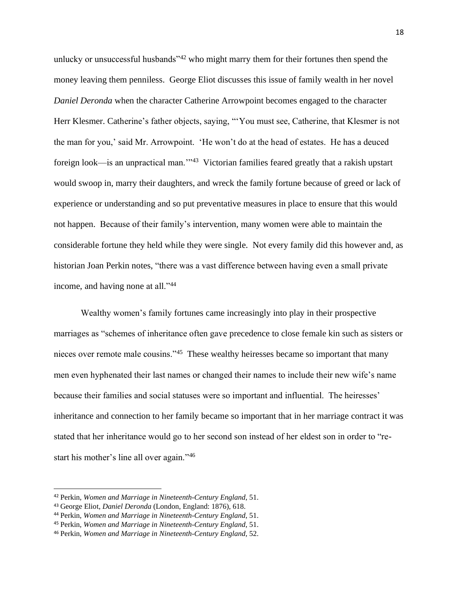unlucky or unsuccessful husbands"<sup>42</sup> who might marry them for their fortunes then spend the money leaving them penniless. George Eliot discusses this issue of family wealth in her novel *Daniel Deronda* when the character Catherine Arrowpoint becomes engaged to the character Herr Klesmer. Catherine's father objects, saying, "'You must see, Catherine, that Klesmer is not the man for you,' said Mr. Arrowpoint. 'He won't do at the head of estates. He has a deuced foreign look—is an unpractical man."<sup>43</sup> Victorian families feared greatly that a rakish upstart would swoop in, marry their daughters, and wreck the family fortune because of greed or lack of experience or understanding and so put preventative measures in place to ensure that this would not happen. Because of their family's intervention, many women were able to maintain the considerable fortune they held while they were single. Not every family did this however and, as historian Joan Perkin notes, "there was a vast difference between having even a small private income, and having none at all."<sup>44</sup>

Wealthy women's family fortunes came increasingly into play in their prospective marriages as "schemes of inheritance often gave precedence to close female kin such as sisters or nieces over remote male cousins."<sup>45</sup> These wealthy heiresses became so important that many men even hyphenated their last names or changed their names to include their new wife's name because their families and social statuses were so important and influential. The heiresses' inheritance and connection to her family became so important that in her marriage contract it was stated that her inheritance would go to her second son instead of her eldest son in order to "restart his mother's line all over again."<sup>46</sup>

<sup>42</sup> Perkin, *Women and Marriage in Nineteenth-Century England*, 51.

<sup>43</sup> George Eliot, *Daniel Deronda* (London, England: 1876), 618.

<sup>44</sup> Perkin, *Women and Marriage in Nineteenth-Century England*, 51.

<sup>45</sup> Perkin, *Women and Marriage in Nineteenth-Century England*, 51.

<sup>46</sup> Perkin, *Women and Marriage in Nineteenth-Century England*, 52.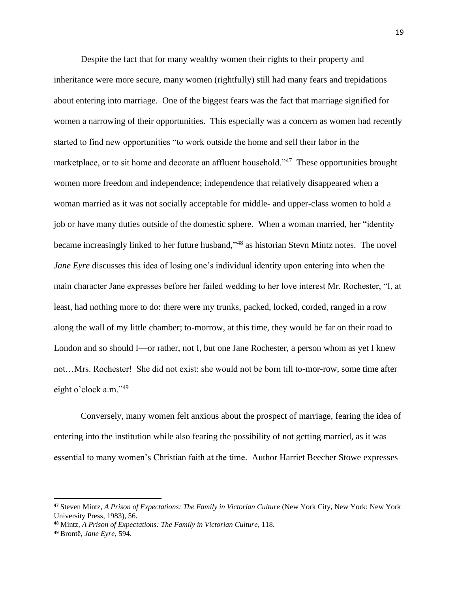Despite the fact that for many wealthy women their rights to their property and inheritance were more secure, many women (rightfully) still had many fears and trepidations about entering into marriage. One of the biggest fears was the fact that marriage signified for women a narrowing of their opportunities. This especially was a concern as women had recently started to find new opportunities "to work outside the home and sell their labor in the marketplace, or to sit home and decorate an affluent household."<sup>47</sup> These opportunities brought women more freedom and independence; independence that relatively disappeared when a woman married as it was not socially acceptable for middle- and upper-class women to hold a job or have many duties outside of the domestic sphere. When a woman married, her "identity became increasingly linked to her future husband,"<sup>48</sup> as historian Stevn Mintz notes. The novel *Jane Eyre* discusses this idea of losing one's individual identity upon entering into when the main character Jane expresses before her failed wedding to her love interest Mr. Rochester, "I, at least, had nothing more to do: there were my trunks, packed, locked, corded, ranged in a row along the wall of my little chamber; to-morrow, at this time, they would be far on their road to London and so should I—or rather, not I, but one Jane Rochester, a person whom as yet I knew not…Mrs. Rochester! She did not exist: she would not be born till to-mor-row, some time after eight o'clock a.m."<sup>49</sup>

Conversely, many women felt anxious about the prospect of marriage, fearing the idea of entering into the institution while also fearing the possibility of not getting married, as it was essential to many women's Christian faith at the time. Author Harriet Beecher Stowe expresses

<sup>47</sup> Steven Mintz, *A Prison of Expectations: The Family in Victorian Culture* (New York City, New York: New York University Press, 1983), 56.

<sup>48</sup> Mintz, *A Prison of Expectations: The Family in Victorian Culture*, 118.

<sup>49</sup> Brontë, *Jane Eyre*, 594.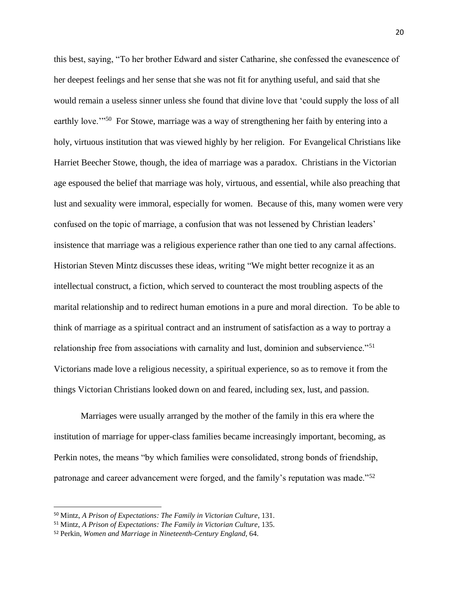this best, saying, "To her brother Edward and sister Catharine, she confessed the evanescence of her deepest feelings and her sense that she was not fit for anything useful, and said that she would remain a useless sinner unless she found that divine love that 'could supply the loss of all earthly love."<sup>50</sup> For Stowe, marriage was a way of strengthening her faith by entering into a holy, virtuous institution that was viewed highly by her religion. For Evangelical Christians like Harriet Beecher Stowe, though, the idea of marriage was a paradox. Christians in the Victorian age espoused the belief that marriage was holy, virtuous, and essential, while also preaching that lust and sexuality were immoral, especially for women. Because of this, many women were very confused on the topic of marriage, a confusion that was not lessened by Christian leaders' insistence that marriage was a religious experience rather than one tied to any carnal affections. Historian Steven Mintz discusses these ideas, writing "We might better recognize it as an intellectual construct, a fiction, which served to counteract the most troubling aspects of the marital relationship and to redirect human emotions in a pure and moral direction. To be able to think of marriage as a spiritual contract and an instrument of satisfaction as a way to portray a relationship free from associations with carnality and lust, dominion and subservience."<sup>51</sup> Victorians made love a religious necessity, a spiritual experience, so as to remove it from the things Victorian Christians looked down on and feared, including sex, lust, and passion.

Marriages were usually arranged by the mother of the family in this era where the institution of marriage for upper-class families became increasingly important, becoming, as Perkin notes, the means "by which families were consolidated, strong bonds of friendship, patronage and career advancement were forged, and the family's reputation was made."<sup>52</sup>

<sup>50</sup> Mintz, *A Prison of Expectations: The Family in Victorian Culture*, 131.

<sup>51</sup> Mintz, *A Prison of Expectations: The Family in Victorian Culture*, 135.

<sup>52</sup> Perkin, *Women and Marriage in Nineteenth-Century England*, 64.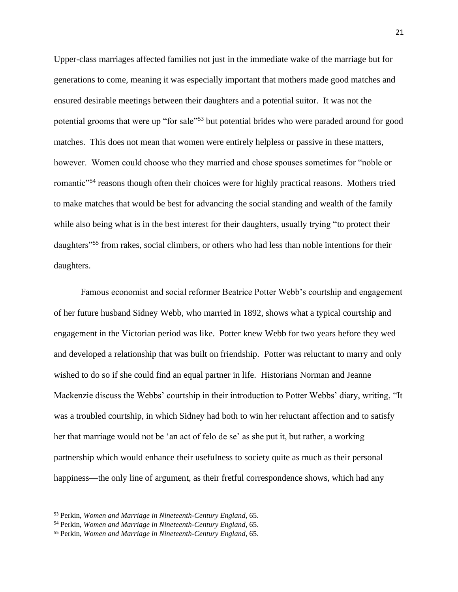Upper-class marriages affected families not just in the immediate wake of the marriage but for generations to come, meaning it was especially important that mothers made good matches and ensured desirable meetings between their daughters and a potential suitor. It was not the potential grooms that were up "for sale"<sup>53</sup> but potential brides who were paraded around for good matches. This does not mean that women were entirely helpless or passive in these matters, however. Women could choose who they married and chose spouses sometimes for "noble or romantic<sup>"54</sup> reasons though often their choices were for highly practical reasons. Mothers tried to make matches that would be best for advancing the social standing and wealth of the family while also being what is in the best interest for their daughters, usually trying "to protect their daughters<sup>"55</sup> from rakes, social climbers, or others who had less than noble intentions for their daughters.

Famous economist and social reformer Beatrice Potter Webb's courtship and engagement of her future husband Sidney Webb, who married in 1892, shows what a typical courtship and engagement in the Victorian period was like. Potter knew Webb for two years before they wed and developed a relationship that was built on friendship. Potter was reluctant to marry and only wished to do so if she could find an equal partner in life. Historians Norman and Jeanne Mackenzie discuss the Webbs' courtship in their introduction to Potter Webbs' diary, writing, "It was a troubled courtship, in which Sidney had both to win her reluctant affection and to satisfy her that marriage would not be 'an act of felo de se' as she put it, but rather, a working partnership which would enhance their usefulness to society quite as much as their personal happiness—the only line of argument, as their fretful correspondence shows, which had any

<sup>53</sup> Perkin, *Women and Marriage in Nineteenth-Century England*, 65.

<sup>54</sup> Perkin, *Women and Marriage in Nineteenth-Century England*, 65.

<sup>55</sup> Perkin, *Women and Marriage in Nineteenth-Century England*, 65.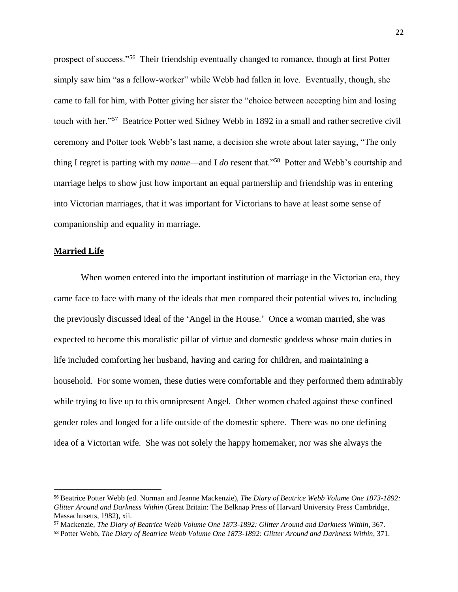prospect of success."<sup>56</sup> Their friendship eventually changed to romance, though at first Potter simply saw him "as a fellow-worker" while Webb had fallen in love. Eventually, though, she came to fall for him, with Potter giving her sister the "choice between accepting him and losing touch with her."<sup>57</sup> Beatrice Potter wed Sidney Webb in 1892 in a small and rather secretive civil ceremony and Potter took Webb's last name, a decision she wrote about later saying, "The only thing I regret is parting with my *name*—and I *do* resent that."<sup>58</sup> Potter and Webb's courtship and marriage helps to show just how important an equal partnership and friendship was in entering into Victorian marriages, that it was important for Victorians to have at least some sense of companionship and equality in marriage.

#### **Married Life**

When women entered into the important institution of marriage in the Victorian era, they came face to face with many of the ideals that men compared their potential wives to, including the previously discussed ideal of the 'Angel in the House.' Once a woman married, she was expected to become this moralistic pillar of virtue and domestic goddess whose main duties in life included comforting her husband, having and caring for children, and maintaining a household. For some women, these duties were comfortable and they performed them admirably while trying to live up to this omnipresent Angel. Other women chafed against these confined gender roles and longed for a life outside of the domestic sphere. There was no one defining idea of a Victorian wife. She was not solely the happy homemaker, nor was she always the

<sup>56</sup> Beatrice Potter Webb (ed. Norman and Jeanne Mackenzie), *The Diary of Beatrice Webb Volume One 1873-1892: Glitter Around and Darkness Within* (Great Britain: The Belknap Press of Harvard University Press Cambridge, Massachusetts, 1982), xii.

<sup>57</sup> Mackenzie, *The Diary of Beatrice Webb Volume One 1873-1892: Glitter Around and Darkness Within*, 367.

<sup>58</sup> Potter Webb, *The Diary of Beatrice Webb Volume One 1873-1892: Glitter Around and Darkness Within*, 371.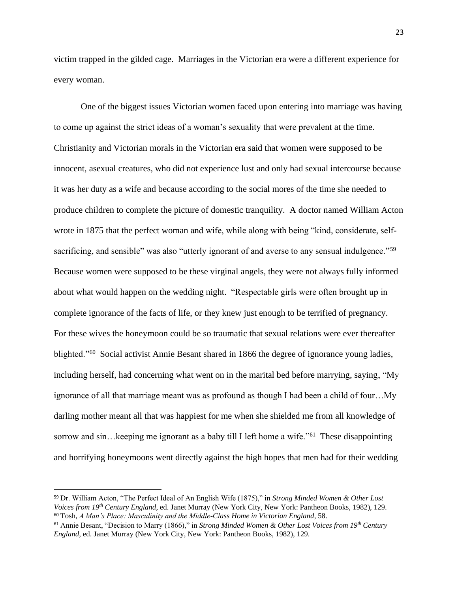victim trapped in the gilded cage. Marriages in the Victorian era were a different experience for every woman.

One of the biggest issues Victorian women faced upon entering into marriage was having to come up against the strict ideas of a woman's sexuality that were prevalent at the time. Christianity and Victorian morals in the Victorian era said that women were supposed to be innocent, asexual creatures, who did not experience lust and only had sexual intercourse because it was her duty as a wife and because according to the social mores of the time she needed to produce children to complete the picture of domestic tranquility. A doctor named William Acton wrote in 1875 that the perfect woman and wife, while along with being "kind, considerate, selfsacrificing, and sensible" was also "utterly ignorant of and averse to any sensual indulgence."<sup>59</sup> Because women were supposed to be these virginal angels, they were not always fully informed about what would happen on the wedding night. "Respectable girls were often brought up in complete ignorance of the facts of life, or they knew just enough to be terrified of pregnancy. For these wives the honeymoon could be so traumatic that sexual relations were ever thereafter blighted."<sup>60</sup> Social activist Annie Besant shared in 1866 the degree of ignorance young ladies, including herself, had concerning what went on in the marital bed before marrying, saying, "My ignorance of all that marriage meant was as profound as though I had been a child of four…My darling mother meant all that was happiest for me when she shielded me from all knowledge of sorrow and sin... keeping me ignorant as a baby till I left home a wife."<sup>61</sup> These disappointing and horrifying honeymoons went directly against the high hopes that men had for their wedding

<sup>59</sup> Dr. William Acton, "The Perfect Ideal of An English Wife (1875)," in *Strong Minded Women & Other Lost Voices from 19th Century England*, ed. Janet Murray (New York City, New York: Pantheon Books, 1982), 129. <sup>60</sup> Tosh, *A Man's Place: Masculinity and the Middle-Class Home in Victorian England*, 58.

<sup>61</sup> Annie Besant, "Decision to Marry (1866)," in *Strong Minded Women & Other Lost Voices from 19th Century England*, ed. Janet Murray (New York City, New York: Pantheon Books, 1982), 129.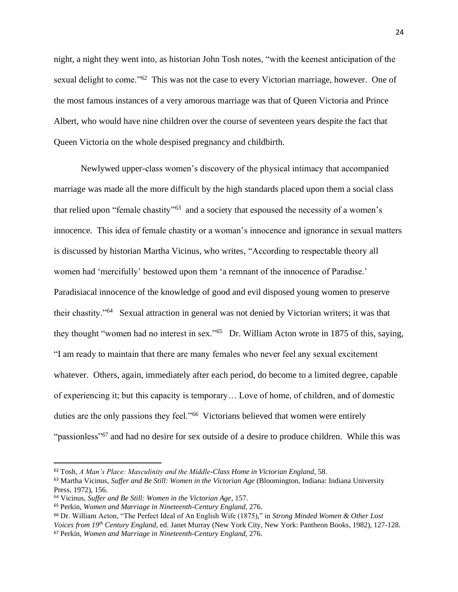night, a night they went into, as historian John Tosh notes, "with the keenest anticipation of the sexual delight to come."<sup>62</sup> This was not the case to every Victorian marriage, however. One of the most famous instances of a very amorous marriage was that of Queen Victoria and Prince Albert, who would have nine children over the course of seventeen years despite the fact that Queen Victoria on the whole despised pregnancy and childbirth.

Newlywed upper-class women's discovery of the physical intimacy that accompanied marriage was made all the more difficult by the high standards placed upon them a social class that relied upon "female chastity"<sup>63</sup> and a society that espoused the necessity of a women's innocence. This idea of female chastity or a woman's innocence and ignorance in sexual matters is discussed by historian Martha Vicinus, who writes, "According to respectable theory all women had 'mercifully' bestowed upon them 'a remnant of the innocence of Paradise.' Paradisiacal innocence of the knowledge of good and evil disposed young women to preserve their chastity."<sup>64</sup> Sexual attraction in general was not denied by Victorian writers; it was that they thought "women had no interest in sex."<sup>65</sup> Dr. William Acton wrote in 1875 of this, saying, "I am ready to maintain that there are many females who never feel any sexual excitement whatever. Others, again, immediately after each period, do become to a limited degree, capable of experiencing it; but this capacity is temporary… Love of home, of children, and of domestic duties are the only passions they feel."<sup>66</sup> Victorians believed that women were entirely "passionless"<sup>67</sup> and had no desire for sex outside of a desire to produce children. While this was

<sup>62</sup> Tosh, *A Man's Place: Masculinity and the Middle-Class Home in Victorian England*, 58.

<sup>63</sup> Martha Vicinus, *Suffer and Be Still: Women in the Victorian Age* (Bloomington, Indiana: Indiana University Press, 1972), 156.

<sup>64</sup> Vicinus, *Suffer and Be Still: Women in the Victorian Age*, 157.

<sup>65</sup> Perkin, *Women and Marriage in Nineteenth-Century England*, 276.

<sup>66</sup> Dr. William Acton, "The Perfect Ideal of An English Wife (1875)," in *Strong Minded Women & Other Lost Voices from 19th Century England*, ed. Janet Murray (New York City, New York: Pantheon Books, 1982), 127-128. <sup>67</sup> Perkin, *Women and Marriage in Nineteenth-Century England*, 276.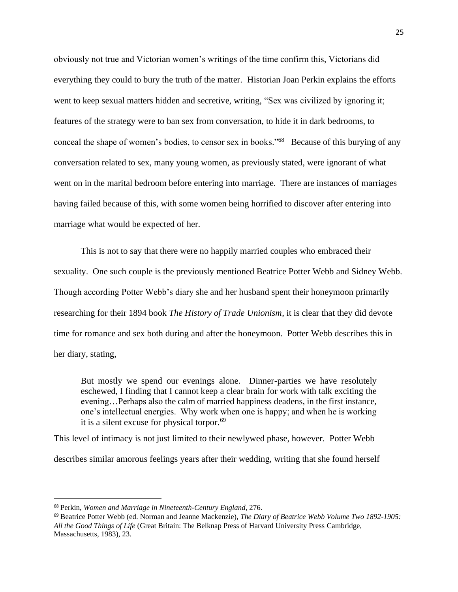obviously not true and Victorian women's writings of the time confirm this, Victorians did everything they could to bury the truth of the matter. Historian Joan Perkin explains the efforts went to keep sexual matters hidden and secretive, writing, "Sex was civilized by ignoring it; features of the strategy were to ban sex from conversation, to hide it in dark bedrooms, to conceal the shape of women's bodies, to censor sex in books."<sup>68</sup> Because of this burying of any conversation related to sex, many young women, as previously stated, were ignorant of what went on in the marital bedroom before entering into marriage. There are instances of marriages having failed because of this, with some women being horrified to discover after entering into marriage what would be expected of her.

This is not to say that there were no happily married couples who embraced their sexuality. One such couple is the previously mentioned Beatrice Potter Webb and Sidney Webb. Though according Potter Webb's diary she and her husband spent their honeymoon primarily researching for their 1894 book *The History of Trade Unionism*, it is clear that they did devote time for romance and sex both during and after the honeymoon. Potter Webb describes this in her diary, stating,

But mostly we spend our evenings alone. Dinner-parties we have resolutely eschewed, I finding that I cannot keep a clear brain for work with talk exciting the evening…Perhaps also the calm of married happiness deadens, in the first instance, one's intellectual energies. Why work when one is happy; and when he is working it is a silent excuse for physical torpor.<sup>69</sup>

This level of intimacy is not just limited to their newlywed phase, however. Potter Webb describes similar amorous feelings years after their wedding, writing that she found herself

<sup>68</sup> Perkin, *Women and Marriage in Nineteenth-Century England*, 276.

<sup>69</sup> Beatrice Potter Webb (ed. Norman and Jeanne Mackenzie), *The Diary of Beatrice Webb Volume Two 1892-1905: All the Good Things of Life* (Great Britain: The Belknap Press of Harvard University Press Cambridge, Massachusetts, 1983), 23.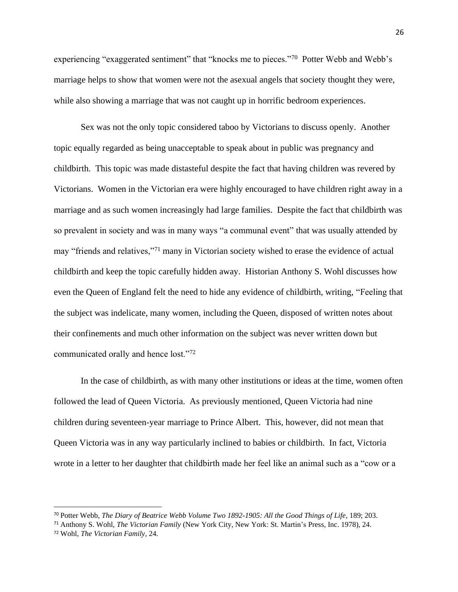experiencing "exaggerated sentiment" that "knocks me to pieces."<sup>70</sup> Potter Webb and Webb's marriage helps to show that women were not the asexual angels that society thought they were, while also showing a marriage that was not caught up in horrific bedroom experiences.

Sex was not the only topic considered taboo by Victorians to discuss openly. Another topic equally regarded as being unacceptable to speak about in public was pregnancy and childbirth. This topic was made distasteful despite the fact that having children was revered by Victorians. Women in the Victorian era were highly encouraged to have children right away in a marriage and as such women increasingly had large families. Despite the fact that childbirth was so prevalent in society and was in many ways "a communal event" that was usually attended by may "friends and relatives,"<sup>71</sup> many in Victorian society wished to erase the evidence of actual childbirth and keep the topic carefully hidden away. Historian Anthony S. Wohl discusses how even the Queen of England felt the need to hide any evidence of childbirth, writing, "Feeling that the subject was indelicate, many women, including the Queen, disposed of written notes about their confinements and much other information on the subject was never written down but communicated orally and hence lost."<sup>72</sup>

In the case of childbirth, as with many other institutions or ideas at the time, women often followed the lead of Queen Victoria. As previously mentioned, Queen Victoria had nine children during seventeen-year marriage to Prince Albert. This, however, did not mean that Queen Victoria was in any way particularly inclined to babies or childbirth. In fact, Victoria wrote in a letter to her daughter that childbirth made her feel like an animal such as a "cow or a

<sup>70</sup> Potter Webb, *The Diary of Beatrice Webb Volume Two 1892-1905: All the Good Things of Life*, 189; 203.

<sup>71</sup> Anthony S. Wohl, *The Victorian Family* (New York City, New York: St. Martin's Press, Inc. 1978), 24.

<sup>72</sup> Wohl, *The Victorian Family*, 24.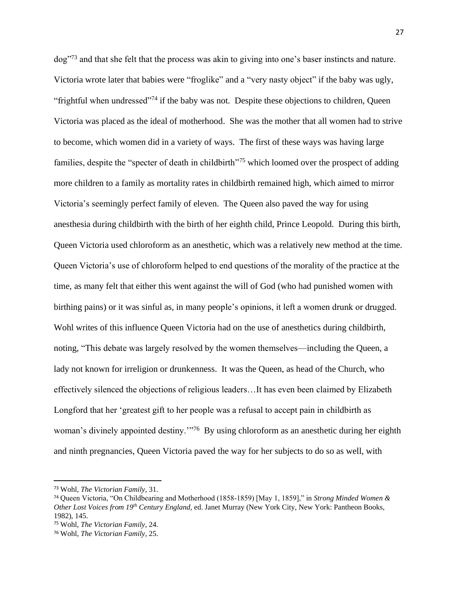dog"<sup>73</sup> and that she felt that the process was akin to giving into one's baser instincts and nature. Victoria wrote later that babies were "froglike" and a "very nasty object" if the baby was ugly, "frightful when undressed"<sup>74</sup> if the baby was not. Despite these objections to children, Queen Victoria was placed as the ideal of motherhood. She was the mother that all women had to strive to become, which women did in a variety of ways. The first of these ways was having large families, despite the "specter of death in childbirth"<sup>75</sup> which loomed over the prospect of adding more children to a family as mortality rates in childbirth remained high, which aimed to mirror Victoria's seemingly perfect family of eleven. The Queen also paved the way for using anesthesia during childbirth with the birth of her eighth child, Prince Leopold. During this birth, Queen Victoria used chloroform as an anesthetic, which was a relatively new method at the time. Queen Victoria's use of chloroform helped to end questions of the morality of the practice at the time, as many felt that either this went against the will of God (who had punished women with birthing pains) or it was sinful as, in many people's opinions, it left a women drunk or drugged. Wohl writes of this influence Queen Victoria had on the use of anesthetics during childbirth, noting, "This debate was largely resolved by the women themselves—including the Queen, a lady not known for irreligion or drunkenness. It was the Queen, as head of the Church, who effectively silenced the objections of religious leaders…It has even been claimed by Elizabeth Longford that her 'greatest gift to her people was a refusal to accept pain in childbirth as woman's divinely appointed destiny."<sup>76</sup> By using chloroform as an anesthetic during her eighth and ninth pregnancies, Queen Victoria paved the way for her subjects to do so as well, with

<sup>73</sup> Wohl, *The Victorian Family*, 31.

<sup>74</sup> Queen Victoria, "On Childbearing and Motherhood (1858-1859) [May 1, 1859]," in *Strong Minded Women & Other Lost Voices from 19th Century England*, ed. Janet Murray (New York City, New York: Pantheon Books, 1982), 145.

<sup>75</sup> Wohl, *The Victorian Family*, 24.

<sup>76</sup> Wohl, *The Victorian Family*, 25.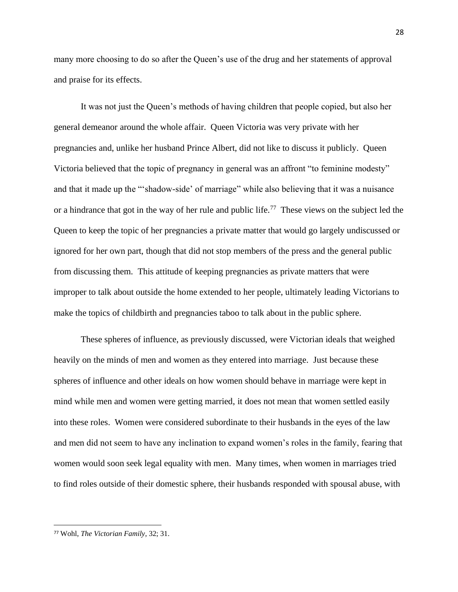many more choosing to do so after the Queen's use of the drug and her statements of approval and praise for its effects.

It was not just the Queen's methods of having children that people copied, but also her general demeanor around the whole affair. Queen Victoria was very private with her pregnancies and, unlike her husband Prince Albert, did not like to discuss it publicly. Queen Victoria believed that the topic of pregnancy in general was an affront "to feminine modesty" and that it made up the "'shadow-side' of marriage" while also believing that it was a nuisance or a hindrance that got in the way of her rule and public life.<sup>77</sup> These views on the subject led the Queen to keep the topic of her pregnancies a private matter that would go largely undiscussed or ignored for her own part, though that did not stop members of the press and the general public from discussing them. This attitude of keeping pregnancies as private matters that were improper to talk about outside the home extended to her people, ultimately leading Victorians to make the topics of childbirth and pregnancies taboo to talk about in the public sphere.

These spheres of influence, as previously discussed, were Victorian ideals that weighed heavily on the minds of men and women as they entered into marriage. Just because these spheres of influence and other ideals on how women should behave in marriage were kept in mind while men and women were getting married, it does not mean that women settled easily into these roles. Women were considered subordinate to their husbands in the eyes of the law and men did not seem to have any inclination to expand women's roles in the family, fearing that women would soon seek legal equality with men. Many times, when women in marriages tried to find roles outside of their domestic sphere, their husbands responded with spousal abuse, with

<sup>77</sup> Wohl, *The Victorian Family*, 32; 31.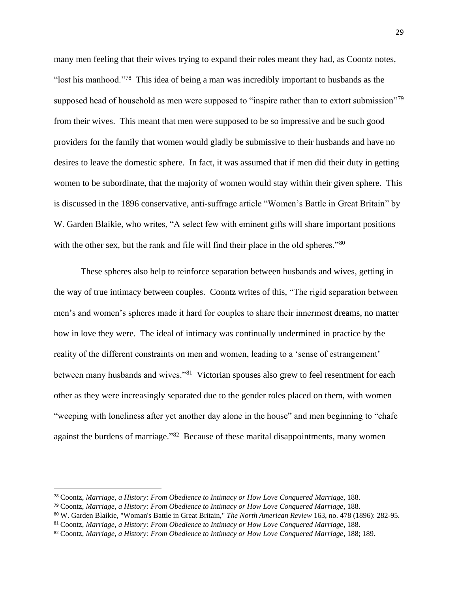many men feeling that their wives trying to expand their roles meant they had, as Coontz notes, "lost his manhood."<sup>78</sup> This idea of being a man was incredibly important to husbands as the supposed head of household as men were supposed to "inspire rather than to extort submission"<sup>79</sup> from their wives. This meant that men were supposed to be so impressive and be such good providers for the family that women would gladly be submissive to their husbands and have no desires to leave the domestic sphere. In fact, it was assumed that if men did their duty in getting women to be subordinate, that the majority of women would stay within their given sphere. This is discussed in the 1896 conservative, anti-suffrage article "Women's Battle in Great Britain" by W. Garden Blaikie, who writes, "A select few with eminent gifts will share important positions with the other sex, but the rank and file will find their place in the old spheres."<sup>80</sup>

These spheres also help to reinforce separation between husbands and wives, getting in the way of true intimacy between couples. Coontz writes of this, "The rigid separation between men's and women's spheres made it hard for couples to share their innermost dreams, no matter how in love they were. The ideal of intimacy was continually undermined in practice by the reality of the different constraints on men and women, leading to a 'sense of estrangement' between many husbands and wives."<sup>81</sup> Victorian spouses also grew to feel resentment for each other as they were increasingly separated due to the gender roles placed on them, with women "weeping with loneliness after yet another day alone in the house" and men beginning to "chafe against the burdens of marriage."<sup>82</sup> Because of these marital disappointments, many women

<sup>78</sup> Coontz, *Marriage, a History: From Obedience to Intimacy or How Love Conquered Marriage*, 188.

<sup>79</sup> Coontz, *Marriage, a History: From Obedience to Intimacy or How Love Conquered Marriage*, 188.

<sup>80</sup> W. Garden Blaikie, "Woman's Battle in Great Britain," *The North American Review* 163, no. 478 (1896): 282-95.

<sup>81</sup> Coontz, *Marriage, a History: From Obedience to Intimacy or How Love Conquered Marriage*, 188.

<sup>82</sup> Coontz, *Marriage, a History: From Obedience to Intimacy or How Love Conquered Marriage*, 188; 189.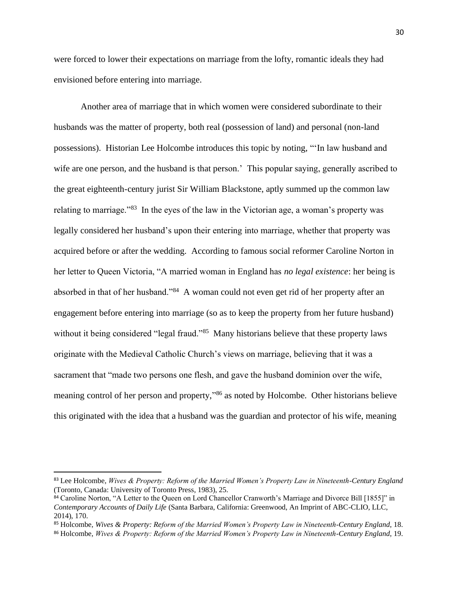were forced to lower their expectations on marriage from the lofty, romantic ideals they had envisioned before entering into marriage.

Another area of marriage that in which women were considered subordinate to their husbands was the matter of property, both real (possession of land) and personal (non-land possessions). Historian Lee Holcombe introduces this topic by noting, "'In law husband and wife are one person, and the husband is that person.' This popular saying, generally ascribed to the great eighteenth-century jurist Sir William Blackstone, aptly summed up the common law relating to marriage."<sup>83</sup> In the eyes of the law in the Victorian age, a woman's property was legally considered her husband's upon their entering into marriage, whether that property was acquired before or after the wedding. According to famous social reformer Caroline Norton in her letter to Queen Victoria, "A married woman in England has *no legal existence*: her being is absorbed in that of her husband."<sup>84</sup> A woman could not even get rid of her property after an engagement before entering into marriage (so as to keep the property from her future husband) without it being considered "legal fraud."<sup>85</sup> Many historians believe that these property laws originate with the Medieval Catholic Church's views on marriage, believing that it was a sacrament that "made two persons one flesh, and gave the husband dominion over the wife, meaning control of her person and property,"<sup>86</sup> as noted by Holcombe. Other historians believe this originated with the idea that a husband was the guardian and protector of his wife, meaning

<sup>83</sup> Lee Holcombe, *Wives & Property: Reform of the Married Women's Property Law in Nineteenth-Century England* (Toronto, Canada: University of Toronto Press, 1983), 25.

<sup>84</sup> Caroline Norton, "A Letter to the Queen on Lord Chancellor Cranworth's Marriage and Divorce Bill [1855]" in *Contemporary Accounts of Daily Life* (Santa Barbara, California: Greenwood, An Imprint of ABC-CLIO, LLC, 2014), 170.

<sup>85</sup> Holcombe, *Wives & Property: Reform of the Married Women's Property Law in Nineteenth-Century England*, 18. <sup>86</sup> Holcombe, *Wives & Property: Reform of the Married Women's Property Law in Nineteenth-Century England*, 19.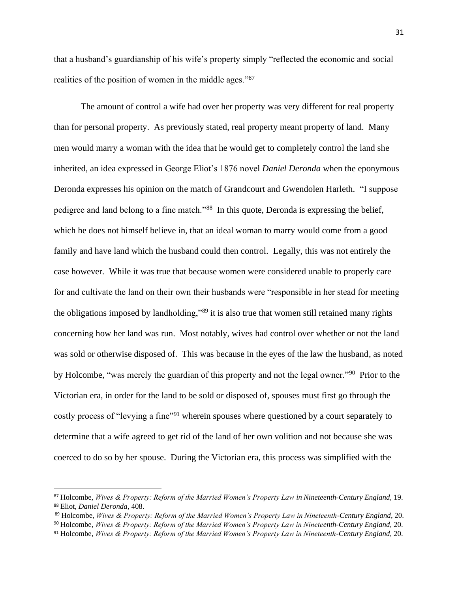that a husband's guardianship of his wife's property simply "reflected the economic and social realities of the position of women in the middle ages."<sup>87</sup>

The amount of control a wife had over her property was very different for real property than for personal property. As previously stated, real property meant property of land. Many men would marry a woman with the idea that he would get to completely control the land she inherited, an idea expressed in George Eliot's 1876 novel *Daniel Deronda* when the eponymous Deronda expresses his opinion on the match of Grandcourt and Gwendolen Harleth. "I suppose pedigree and land belong to a fine match."<sup>88</sup> In this quote, Deronda is expressing the belief, which he does not himself believe in, that an ideal woman to marry would come from a good family and have land which the husband could then control. Legally, this was not entirely the case however. While it was true that because women were considered unable to properly care for and cultivate the land on their own their husbands were "responsible in her stead for meeting the obligations imposed by landholding,"<sup>89</sup> it is also true that women still retained many rights concerning how her land was run. Most notably, wives had control over whether or not the land was sold or otherwise disposed of. This was because in the eyes of the law the husband, as noted by Holcombe, "was merely the guardian of this property and not the legal owner."<sup>90</sup> Prior to the Victorian era, in order for the land to be sold or disposed of, spouses must first go through the costly process of "levying a fine"<sup>91</sup> wherein spouses where questioned by a court separately to determine that a wife agreed to get rid of the land of her own volition and not because she was coerced to do so by her spouse. During the Victorian era, this process was simplified with the

<sup>87</sup> Holcombe, *Wives & Property: Reform of the Married Women's Property Law in Nineteenth-Century England*, 19. <sup>88</sup> Eliot, *Daniel Deronda*, 408.

<sup>89</sup> Holcombe, *Wives & Property: Reform of the Married Women's Property Law in Nineteenth-Century England*, 20.

<sup>90</sup> Holcombe, *Wives & Property: Reform of the Married Women's Property Law in Nineteenth-Century England*, 20.

<sup>91</sup> Holcombe, *Wives & Property: Reform of the Married Women's Property Law in Nineteenth-Century England*, 20.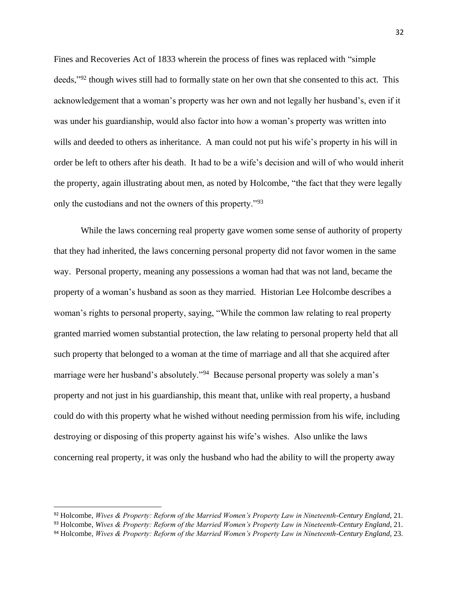Fines and Recoveries Act of 1833 wherein the process of fines was replaced with "simple deeds,"<sup>92</sup> though wives still had to formally state on her own that she consented to this act. This acknowledgement that a woman's property was her own and not legally her husband's, even if it was under his guardianship, would also factor into how a woman's property was written into wills and deeded to others as inheritance. A man could not put his wife's property in his will in order be left to others after his death. It had to be a wife's decision and will of who would inherit the property, again illustrating about men, as noted by Holcombe, "the fact that they were legally only the custodians and not the owners of this property."<sup>93</sup>

While the laws concerning real property gave women some sense of authority of property that they had inherited, the laws concerning personal property did not favor women in the same way. Personal property, meaning any possessions a woman had that was not land, became the property of a woman's husband as soon as they married. Historian Lee Holcombe describes a woman's rights to personal property, saying, "While the common law relating to real property granted married women substantial protection, the law relating to personal property held that all such property that belonged to a woman at the time of marriage and all that she acquired after marriage were her husband's absolutely."<sup>94</sup> Because personal property was solely a man's property and not just in his guardianship, this meant that, unlike with real property, a husband could do with this property what he wished without needing permission from his wife, including destroying or disposing of this property against his wife's wishes. Also unlike the laws concerning real property, it was only the husband who had the ability to will the property away

<sup>92</sup> Holcombe, *Wives & Property: Reform of the Married Women's Property Law in Nineteenth-Century England*, 21.

<sup>93</sup> Holcombe, *Wives & Property: Reform of the Married Women's Property Law in Nineteenth-Century England*, 21.

<sup>94</sup> Holcombe, *Wives & Property: Reform of the Married Women's Property Law in Nineteenth-Century England*, 23.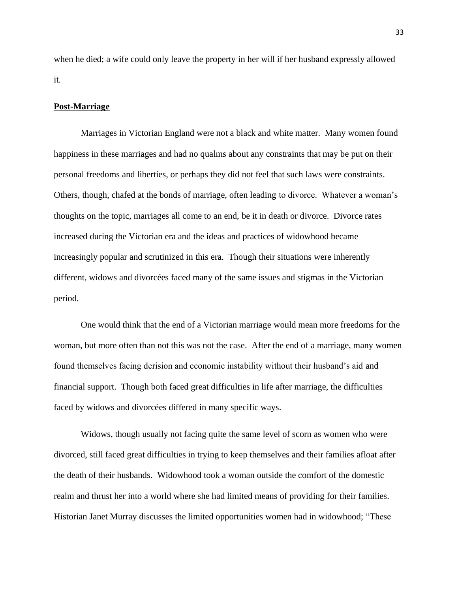when he died; a wife could only leave the property in her will if her husband expressly allowed it.

#### **Post-Marriage**

Marriages in Victorian England were not a black and white matter. Many women found happiness in these marriages and had no qualms about any constraints that may be put on their personal freedoms and liberties, or perhaps they did not feel that such laws were constraints. Others, though, chafed at the bonds of marriage, often leading to divorce. Whatever a woman's thoughts on the topic, marriages all come to an end, be it in death or divorce. Divorce rates increased during the Victorian era and the ideas and practices of widowhood became increasingly popular and scrutinized in this era. Though their situations were inherently different, widows and divorcées faced many of the same issues and stigmas in the Victorian period.

One would think that the end of a Victorian marriage would mean more freedoms for the woman, but more often than not this was not the case. After the end of a marriage, many women found themselves facing derision and economic instability without their husband's aid and financial support. Though both faced great difficulties in life after marriage, the difficulties faced by widows and divorcées differed in many specific ways.

Widows, though usually not facing quite the same level of scorn as women who were divorced, still faced great difficulties in trying to keep themselves and their families afloat after the death of their husbands. Widowhood took a woman outside the comfort of the domestic realm and thrust her into a world where she had limited means of providing for their families. Historian Janet Murray discusses the limited opportunities women had in widowhood; "These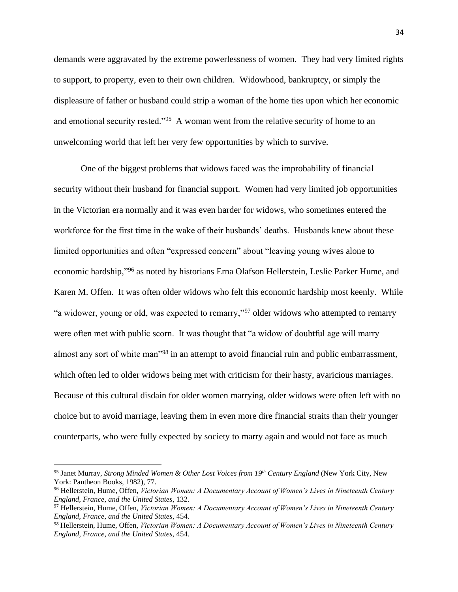demands were aggravated by the extreme powerlessness of women. They had very limited rights to support, to property, even to their own children. Widowhood, bankruptcy, or simply the displeasure of father or husband could strip a woman of the home ties upon which her economic and emotional security rested."<sup>95</sup> A woman went from the relative security of home to an unwelcoming world that left her very few opportunities by which to survive.

One of the biggest problems that widows faced was the improbability of financial security without their husband for financial support. Women had very limited job opportunities in the Victorian era normally and it was even harder for widows, who sometimes entered the workforce for the first time in the wake of their husbands' deaths. Husbands knew about these limited opportunities and often "expressed concern" about "leaving young wives alone to economic hardship,"<sup>96</sup> as noted by historians Erna Olafson Hellerstein, Leslie Parker Hume, and Karen M. Offen. It was often older widows who felt this economic hardship most keenly. While "a widower, young or old, was expected to remarry,"<sup>97</sup> older widows who attempted to remarry were often met with public scorn. It was thought that "a widow of doubtful age will marry almost any sort of white man"<sup>98</sup> in an attempt to avoid financial ruin and public embarrassment, which often led to older widows being met with criticism for their hasty, avaricious marriages. Because of this cultural disdain for older women marrying, older widows were often left with no choice but to avoid marriage, leaving them in even more dire financial straits than their younger counterparts, who were fully expected by society to marry again and would not face as much

<sup>95</sup> Janet Murray, *Strong Minded Women & Other Lost Voices from 19th Century England* (New York City, New York: Pantheon Books, 1982), 77.

<sup>96</sup> Hellerstein, Hume, Offen, *Victorian Women: A Documentary Account of Women's Lives in Nineteenth Century England, France, and the United States*, 132.

<sup>97</sup> Hellerstein, Hume, Offen, *Victorian Women: A Documentary Account of Women's Lives in Nineteenth Century England, France, and the United States*, 454.

<sup>98</sup> Hellerstein, Hume, Offen, *Victorian Women: A Documentary Account of Women's Lives in Nineteenth Century England, France, and the United States*, 454.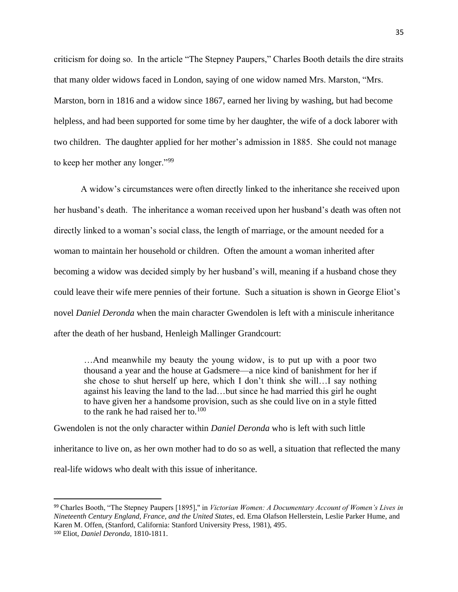criticism for doing so. In the article "The Stepney Paupers," Charles Booth details the dire straits that many older widows faced in London, saying of one widow named Mrs. Marston, "Mrs. Marston, born in 1816 and a widow since 1867, earned her living by washing, but had become helpless, and had been supported for some time by her daughter, the wife of a dock laborer with two children. The daughter applied for her mother's admission in 1885. She could not manage to keep her mother any longer."<sup>99</sup>

A widow's circumstances were often directly linked to the inheritance she received upon her husband's death. The inheritance a woman received upon her husband's death was often not directly linked to a woman's social class, the length of marriage, or the amount needed for a woman to maintain her household or children. Often the amount a woman inherited after becoming a widow was decided simply by her husband's will, meaning if a husband chose they could leave their wife mere pennies of their fortune. Such a situation is shown in George Eliot's novel *Daniel Deronda* when the main character Gwendolen is left with a miniscule inheritance after the death of her husband, Henleigh Mallinger Grandcourt:

…And meanwhile my beauty the young widow, is to put up with a poor two thousand a year and the house at Gadsmere—a nice kind of banishment for her if she chose to shut herself up here, which I don't think she will…I say nothing against his leaving the land to the lad…but since he had married this girl he ought to have given her a handsome provision, such as she could live on in a style fitted to the rank he had raised her to.<sup>100</sup>

Gwendolen is not the only character within *Daniel Deronda* who is left with such little inheritance to live on, as her own mother had to do so as well, a situation that reflected the many real-life widows who dealt with this issue of inheritance.

<sup>99</sup> Charles Booth, "The Stepney Paupers [1895]," in *Victorian Women: A Documentary Account of Women's Lives in Nineteenth Century England, France, and the United States*, ed. Erna Olafson Hellerstein, Leslie Parker Hume, and Karen M. Offen, (Stanford, California: Stanford University Press, 1981), 495. <sup>100</sup> Eliot, *Daniel Deronda*, 1810-1811.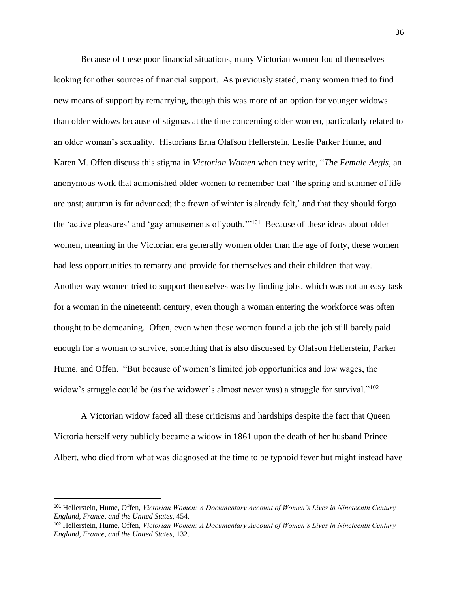Because of these poor financial situations, many Victorian women found themselves looking for other sources of financial support. As previously stated, many women tried to find new means of support by remarrying, though this was more of an option for younger widows than older widows because of stigmas at the time concerning older women, particularly related to an older woman's sexuality. Historians Erna Olafson Hellerstein, Leslie Parker Hume, and Karen M. Offen discuss this stigma in *Victorian Women* when they write, "*The Female Aegis*, an anonymous work that admonished older women to remember that 'the spring and summer of life are past; autumn is far advanced; the frown of winter is already felt,' and that they should forgo the 'active pleasures' and 'gay amusements of youth."<sup>101</sup> Because of these ideas about older women, meaning in the Victorian era generally women older than the age of forty, these women had less opportunities to remarry and provide for themselves and their children that way. Another way women tried to support themselves was by finding jobs, which was not an easy task for a woman in the nineteenth century, even though a woman entering the workforce was often thought to be demeaning. Often, even when these women found a job the job still barely paid enough for a woman to survive, something that is also discussed by Olafson Hellerstein, Parker Hume, and Offen. "But because of women's limited job opportunities and low wages, the widow's struggle could be (as the widower's almost never was) a struggle for survival."<sup>102</sup>

A Victorian widow faced all these criticisms and hardships despite the fact that Queen Victoria herself very publicly became a widow in 1861 upon the death of her husband Prince Albert, who died from what was diagnosed at the time to be typhoid fever but might instead have

<sup>101</sup> Hellerstein, Hume, Offen, *Victorian Women: A Documentary Account of Women's Lives in Nineteenth Century England, France, and the United States*, 454.

<sup>102</sup> Hellerstein, Hume, Offen, *Victorian Women: A Documentary Account of Women's Lives in Nineteenth Century England, France, and the United States*, 132.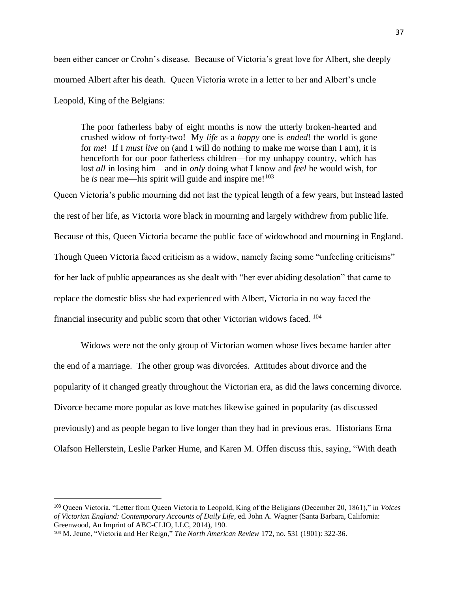been either cancer or Crohn's disease. Because of Victoria's great love for Albert, she deeply mourned Albert after his death. Queen Victoria wrote in a letter to her and Albert's uncle Leopold, King of the Belgians:

The poor fatherless baby of eight months is now the utterly broken-hearted and crushed widow of forty-two! My *life* as a *happy* one is *ended*! the world is gone for *me*! If I *must live* on (and I will do nothing to make me worse than I am), it is henceforth for our poor fatherless children—for my unhappy country, which has lost *all* in losing him—and in *only* doing what I know and *feel* he would wish, for he *is* near me—his spirit will guide and inspire me!<sup>103</sup>

Queen Victoria's public mourning did not last the typical length of a few years, but instead lasted the rest of her life, as Victoria wore black in mourning and largely withdrew from public life. Because of this, Queen Victoria became the public face of widowhood and mourning in England. Though Queen Victoria faced criticism as a widow, namely facing some "unfeeling criticisms" for her lack of public appearances as she dealt with "her ever abiding desolation" that came to replace the domestic bliss she had experienced with Albert, Victoria in no way faced the financial insecurity and public scorn that other Victorian widows faced. <sup>104</sup>

Widows were not the only group of Victorian women whose lives became harder after the end of a marriage. The other group was divorcées. Attitudes about divorce and the popularity of it changed greatly throughout the Victorian era, as did the laws concerning divorce. Divorce became more popular as love matches likewise gained in popularity (as discussed previously) and as people began to live longer than they had in previous eras. Historians Erna Olafson Hellerstein, Leslie Parker Hume, and Karen M. Offen discuss this, saying, "With death

<sup>103</sup> Queen Victoria, "Letter from Queen Victoria to Leopold, King of the Beligians (December 20, 1861)," in *Voices of Victorian England: Contemporary Accounts of Daily Life*, ed. John A. Wagner (Santa Barbara, California: Greenwood, An Imprint of ABC-CLIO, LLC, 2014), 190.

<sup>104</sup> M. Jeune, "Victoria and Her Reign," *The North American Review* 172, no. 531 (1901): 322-36.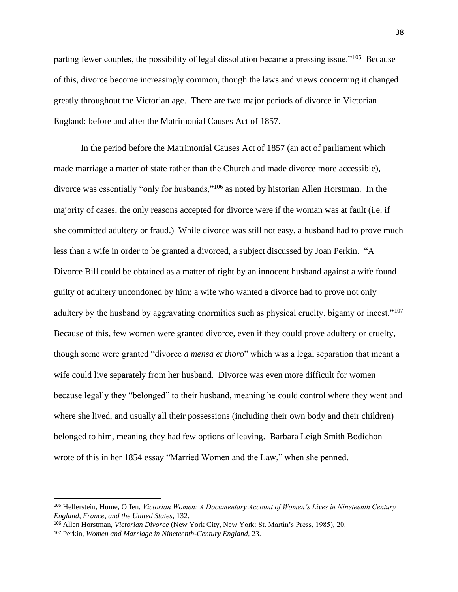parting fewer couples, the possibility of legal dissolution became a pressing issue."<sup>105</sup> Because of this, divorce become increasingly common, though the laws and views concerning it changed greatly throughout the Victorian age. There are two major periods of divorce in Victorian England: before and after the Matrimonial Causes Act of 1857.

In the period before the Matrimonial Causes Act of 1857 (an act of parliament which made marriage a matter of state rather than the Church and made divorce more accessible), divorce was essentially "only for husbands,"<sup>106</sup> as noted by historian Allen Horstman. In the majority of cases, the only reasons accepted for divorce were if the woman was at fault (i.e. if she committed adultery or fraud.) While divorce was still not easy, a husband had to prove much less than a wife in order to be granted a divorced, a subject discussed by Joan Perkin. "A Divorce Bill could be obtained as a matter of right by an innocent husband against a wife found guilty of adultery uncondoned by him; a wife who wanted a divorce had to prove not only adultery by the husband by aggravating enormities such as physical cruelty, bigamy or incest."<sup>107</sup> Because of this, few women were granted divorce, even if they could prove adultery or cruelty, though some were granted "divorce *a mensa et thoro*" which was a legal separation that meant a wife could live separately from her husband. Divorce was even more difficult for women because legally they "belonged" to their husband, meaning he could control where they went and where she lived, and usually all their possessions (including their own body and their children) belonged to him, meaning they had few options of leaving. Barbara Leigh Smith Bodichon wrote of this in her 1854 essay "Married Women and the Law," when she penned,

<sup>105</sup> Hellerstein, Hume, Offen, *Victorian Women: A Documentary Account of Women's Lives in Nineteenth Century England, France, and the United States*, 132.

<sup>106</sup> Allen Horstman, *Victorian Divorce* (New York City, New York: St. Martin's Press, 1985), 20.

<sup>107</sup> Perkin, *Women and Marriage in Nineteenth-Century England*, 23.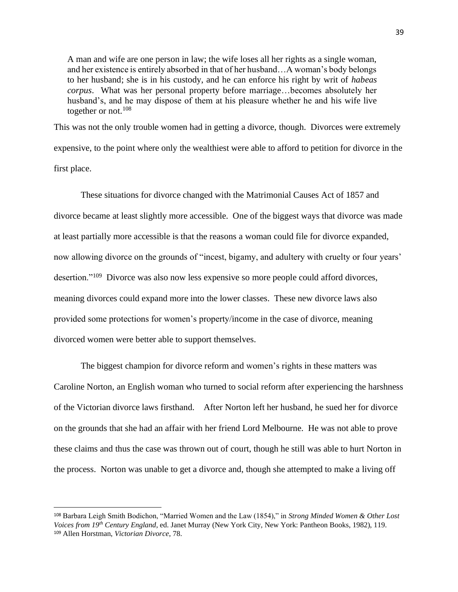A man and wife are one person in law; the wife loses all her rights as a single woman, and her existence is entirely absorbed in that of her husband…A woman's body belongs to her husband; she is in his custody, and he can enforce his right by writ of *habeas corpus*. What was her personal property before marriage…becomes absolutely her husband's, and he may dispose of them at his pleasure whether he and his wife live together or not.<sup>108</sup>

This was not the only trouble women had in getting a divorce, though. Divorces were extremely expensive, to the point where only the wealthiest were able to afford to petition for divorce in the first place.

These situations for divorce changed with the Matrimonial Causes Act of 1857 and divorce became at least slightly more accessible. One of the biggest ways that divorce was made at least partially more accessible is that the reasons a woman could file for divorce expanded, now allowing divorce on the grounds of "incest, bigamy, and adultery with cruelty or four years' desertion."<sup>109</sup> Divorce was also now less expensive so more people could afford divorces, meaning divorces could expand more into the lower classes. These new divorce laws also provided some protections for women's property/income in the case of divorce, meaning divorced women were better able to support themselves.

The biggest champion for divorce reform and women's rights in these matters was Caroline Norton, an English woman who turned to social reform after experiencing the harshness of the Victorian divorce laws firsthand. After Norton left her husband, he sued her for divorce on the grounds that she had an affair with her friend Lord Melbourne. He was not able to prove these claims and thus the case was thrown out of court, though he still was able to hurt Norton in the process. Norton was unable to get a divorce and, though she attempted to make a living off

<sup>108</sup> Barbara Leigh Smith Bodichon, "Married Women and the Law (1854)," in *Strong Minded Women & Other Lost Voices from 19th Century England*, ed. Janet Murray (New York City, New York: Pantheon Books, 1982), 119. <sup>109</sup> Allen Horstman, *Victorian Divorce*, 78.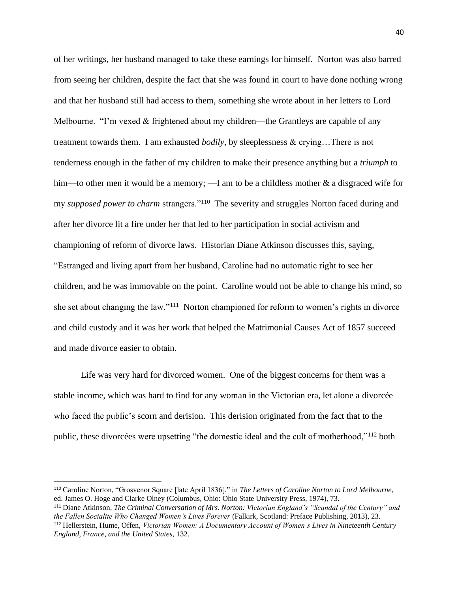of her writings, her husband managed to take these earnings for himself. Norton was also barred from seeing her children, despite the fact that she was found in court to have done nothing wrong and that her husband still had access to them, something she wrote about in her letters to Lord Melbourne. "I'm vexed & frightened about my children—the Grantleys are capable of any treatment towards them. I am exhausted *bodily*, by sleeplessness & crying…There is not tenderness enough in the father of my children to make their presence anything but a *triumph* to him—to other men it would be a memory; —I am to be a childless mother  $\&$  a disgraced wife for my *supposed power to charm* strangers."<sup>110</sup> The severity and struggles Norton faced during and after her divorce lit a fire under her that led to her participation in social activism and championing of reform of divorce laws. Historian Diane Atkinson discusses this, saying, "Estranged and living apart from her husband, Caroline had no automatic right to see her children, and he was immovable on the point. Caroline would not be able to change his mind, so she set about changing the law."<sup>111</sup> Norton championed for reform to women's rights in divorce and child custody and it was her work that helped the Matrimonial Causes Act of 1857 succeed and made divorce easier to obtain.

Life was very hard for divorced women. One of the biggest concerns for them was a stable income, which was hard to find for any woman in the Victorian era, let alone a divorcée who faced the public's scorn and derision. This derision originated from the fact that to the public, these divorcées were upsetting "the domestic ideal and the cult of motherhood,"<sup>112</sup> both

<sup>110</sup> Caroline Norton, "Grosvenor Square [late April 1836]," in *The Letters of Caroline Norton to Lord Melbourne*, ed. James O. Hoge and Clarke Olney (Columbus, Ohio: Ohio State University Press, 1974), 73.

<sup>111</sup> Diane Atkinson, *The Criminal Conversation of Mrs. Norton: Victorian England's "Scandal of the Century" and the Fallen Socialite Who Changed Women's Lives Forever* (Falkirk, Scotland: Preface Publishing, 2013), 23. <sup>112</sup> Hellerstein, Hume, Offen, *Victorian Women: A Documentary Account of Women's Lives in Nineteenth Century England, France, and the United States*, 132.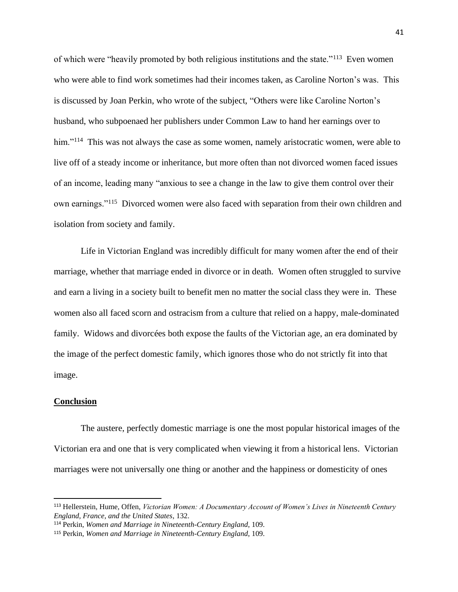of which were "heavily promoted by both religious institutions and the state."<sup>113</sup> Even women who were able to find work sometimes had their incomes taken, as Caroline Norton's was. This is discussed by Joan Perkin, who wrote of the subject, "Others were like Caroline Norton's husband, who subpoenaed her publishers under Common Law to hand her earnings over to him."<sup>114</sup> This was not always the case as some women, namely aristocratic women, were able to live off of a steady income or inheritance, but more often than not divorced women faced issues of an income, leading many "anxious to see a change in the law to give them control over their own earnings."<sup>115</sup> Divorced women were also faced with separation from their own children and isolation from society and family.

Life in Victorian England was incredibly difficult for many women after the end of their marriage, whether that marriage ended in divorce or in death. Women often struggled to survive and earn a living in a society built to benefit men no matter the social class they were in. These women also all faced scorn and ostracism from a culture that relied on a happy, male-dominated family. Widows and divorcées both expose the faults of the Victorian age, an era dominated by the image of the perfect domestic family, which ignores those who do not strictly fit into that image.

#### **Conclusion**

The austere, perfectly domestic marriage is one the most popular historical images of the Victorian era and one that is very complicated when viewing it from a historical lens. Victorian marriages were not universally one thing or another and the happiness or domesticity of ones

<sup>113</sup> Hellerstein, Hume, Offen, *Victorian Women: A Documentary Account of Women's Lives in Nineteenth Century England, France, and the United States*, 132.

<sup>114</sup> Perkin, *Women and Marriage in Nineteenth-Century England*, 109.

<sup>115</sup> Perkin, *Women and Marriage in Nineteenth-Century England*, 109.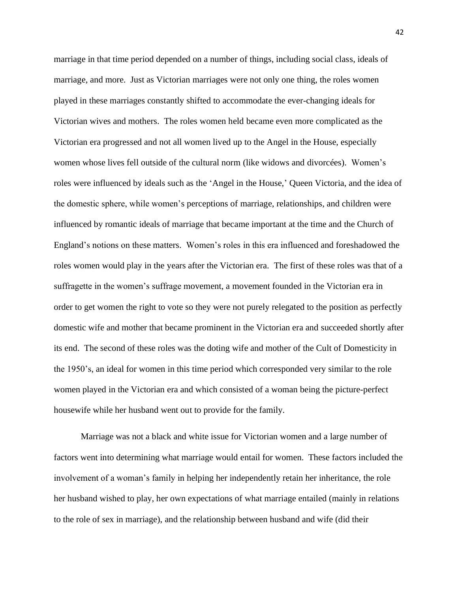marriage in that time period depended on a number of things, including social class, ideals of marriage, and more. Just as Victorian marriages were not only one thing, the roles women played in these marriages constantly shifted to accommodate the ever-changing ideals for Victorian wives and mothers. The roles women held became even more complicated as the Victorian era progressed and not all women lived up to the Angel in the House, especially women whose lives fell outside of the cultural norm (like widows and divorcées). Women's roles were influenced by ideals such as the 'Angel in the House,' Queen Victoria, and the idea of the domestic sphere, while women's perceptions of marriage, relationships, and children were influenced by romantic ideals of marriage that became important at the time and the Church of England's notions on these matters. Women's roles in this era influenced and foreshadowed the roles women would play in the years after the Victorian era. The first of these roles was that of a suffragette in the women's suffrage movement, a movement founded in the Victorian era in order to get women the right to vote so they were not purely relegated to the position as perfectly domestic wife and mother that became prominent in the Victorian era and succeeded shortly after its end. The second of these roles was the doting wife and mother of the Cult of Domesticity in the 1950's, an ideal for women in this time period which corresponded very similar to the role women played in the Victorian era and which consisted of a woman being the picture-perfect housewife while her husband went out to provide for the family.

Marriage was not a black and white issue for Victorian women and a large number of factors went into determining what marriage would entail for women. These factors included the involvement of a woman's family in helping her independently retain her inheritance, the role her husband wished to play, her own expectations of what marriage entailed (mainly in relations to the role of sex in marriage), and the relationship between husband and wife (did their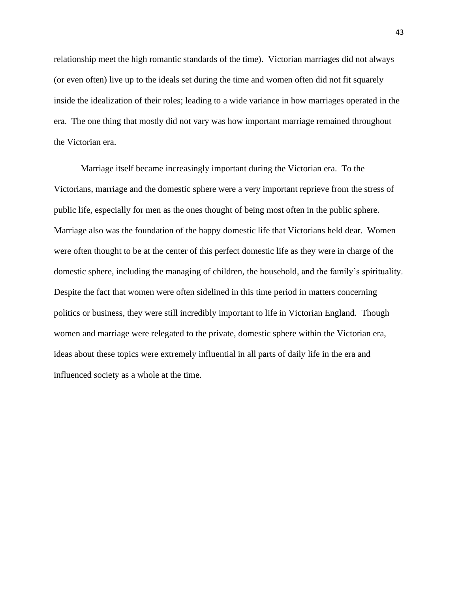relationship meet the high romantic standards of the time). Victorian marriages did not always (or even often) live up to the ideals set during the time and women often did not fit squarely inside the idealization of their roles; leading to a wide variance in how marriages operated in the era. The one thing that mostly did not vary was how important marriage remained throughout the Victorian era.

Marriage itself became increasingly important during the Victorian era. To the Victorians, marriage and the domestic sphere were a very important reprieve from the stress of public life, especially for men as the ones thought of being most often in the public sphere. Marriage also was the foundation of the happy domestic life that Victorians held dear. Women were often thought to be at the center of this perfect domestic life as they were in charge of the domestic sphere, including the managing of children, the household, and the family's spirituality. Despite the fact that women were often sidelined in this time period in matters concerning politics or business, they were still incredibly important to life in Victorian England. Though women and marriage were relegated to the private, domestic sphere within the Victorian era, ideas about these topics were extremely influential in all parts of daily life in the era and influenced society as a whole at the time.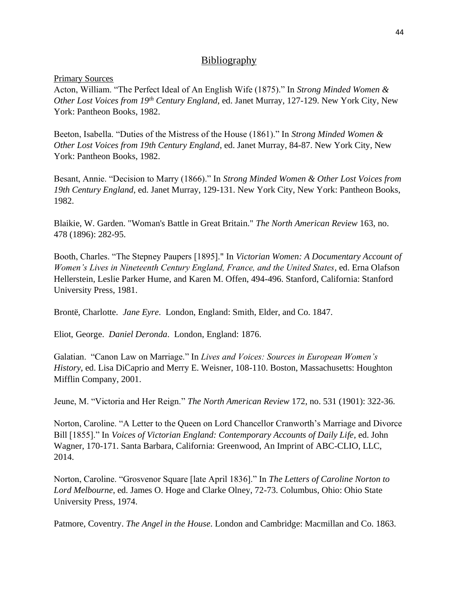## Bibliography

#### Primary Sources

Acton, William. "The Perfect Ideal of An English Wife (1875)." In *Strong Minded Women & Other Lost Voices from 19th Century England*, ed. Janet Murray, 127-129. New York City, New York: Pantheon Books, 1982.

Beeton, Isabella. "Duties of the Mistress of the House (1861)." In *Strong Minded Women & Other Lost Voices from 19th Century England*, ed. Janet Murray, 84-87. New York City, New York: Pantheon Books, 1982.

Besant, Annie. "Decision to Marry (1866)." In *Strong Minded Women & Other Lost Voices from 19th Century England*, ed. Janet Murray, 129-131. New York City, New York: Pantheon Books, 1982.

Blaikie, W. Garden. "Woman's Battle in Great Britain." *The North American Review* 163, no. 478 (1896): 282-95.

Booth, Charles. "The Stepney Paupers [1895]." In *Victorian Women: A Documentary Account of Women's Lives in Nineteenth Century England, France, and the United States*, ed. Erna Olafson Hellerstein, Leslie Parker Hume, and Karen M. Offen, 494-496. Stanford, California: Stanford University Press, 1981.

Brontë, Charlotte. *Jane Eyre*. London, England: Smith, Elder, and Co. 1847.

Eliot, George. *Daniel Deronda*. London, England: 1876.

Galatian. "Canon Law on Marriage." In *Lives and Voices: Sources in European Women's History*, ed. Lisa DiCaprio and Merry E. Weisner, 108-110. Boston, Massachusetts: Houghton Mifflin Company, 2001.

Jeune, M. "Victoria and Her Reign." *The North American Review* 172, no. 531 (1901): 322-36.

Norton, Caroline. "A Letter to the Queen on Lord Chancellor Cranworth's Marriage and Divorce Bill [1855]." In *Voices of Victorian England: Contemporary Accounts of Daily Life*, ed. John Wagner, 170-171. Santa Barbara, California: Greenwood, An Imprint of ABC-CLIO, LLC, 2014.

Norton, Caroline. "Grosvenor Square [late April 1836]." In *The Letters of Caroline Norton to Lord Melbourne*, ed. James O. Hoge and Clarke Olney, 72-73. Columbus, Ohio: Ohio State University Press, 1974.

Patmore, Coventry. *The Angel in the House*. London and Cambridge: Macmillan and Co. 1863.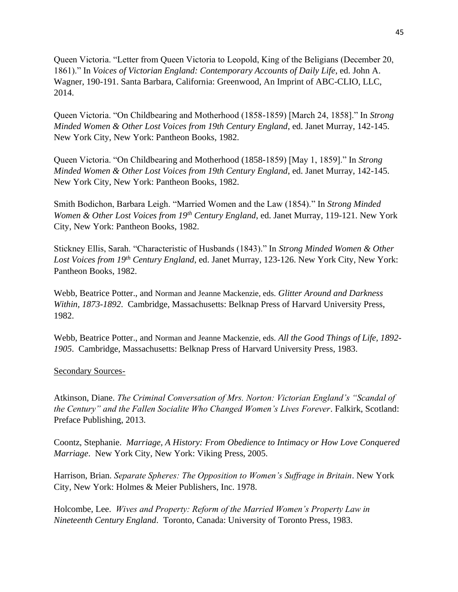Queen Victoria. "Letter from Queen Victoria to Leopold, King of the Beligians (December 20, 1861)." In *Voices of Victorian England: Contemporary Accounts of Daily Life*, ed. John A. Wagner, 190-191. Santa Barbara, California: Greenwood, An Imprint of ABC-CLIO, LLC, 2014.

Queen Victoria. "On Childbearing and Motherhood (1858-1859) [March 24, 1858]." In *Strong Minded Women & Other Lost Voices from 19th Century England*, ed. Janet Murray, 142-145. New York City, New York: Pantheon Books, 1982.

Queen Victoria. "On Childbearing and Motherhood (1858-1859) [May 1, 1859]." In *Strong Minded Women & Other Lost Voices from 19th Century England*, ed. Janet Murray, 142-145. New York City, New York: Pantheon Books, 1982.

Smith Bodichon, Barbara Leigh. "Married Women and the Law (1854)." In *Strong Minded Women & Other Lost Voices from 19th Century England*, ed. Janet Murray, 119-121. New York City, New York: Pantheon Books, 1982.

Stickney Ellis, Sarah. "Characteristic of Husbands (1843)." In *Strong Minded Women & Other*  Lost Voices from 19<sup>th</sup> Century England, ed. Janet Murray, 123-126. New York City, New York: Pantheon Books, 1982.

Webb, Beatrice Potter., and Norman and Jeanne Mackenzie, eds. *Glitter Around and Darkness Within, 1873-1892*. Cambridge, Massachusetts: Belknap Press of Harvard University Press, 1982.

Webb, Beatrice Potter., and Norman and Jeanne Mackenzie, eds. *All the Good Things of Life, 1892- 1905*. Cambridge, Massachusetts: Belknap Press of Harvard University Press, 1983.

### Secondary Sources-

Atkinson, Diane. *The Criminal Conversation of Mrs. Norton: Victorian England's "Scandal of the Century" and the Fallen Socialite Who Changed Women's Lives Forever*. Falkirk, Scotland: Preface Publishing, 2013.

Coontz, Stephanie. *Marriage, A History: From Obedience to Intimacy or How Love Conquered Marriage*. New York City, New York: Viking Press, 2005.

Harrison, Brian. *Separate Spheres: The Opposition to Women's Suffrage in Britain*. New York City, New York: Holmes & Meier Publishers, Inc. 1978.

Holcombe, Lee. *Wives and Property: Reform of the Married Women's Property Law in Nineteenth Century England*. Toronto, Canada: University of Toronto Press, 1983.